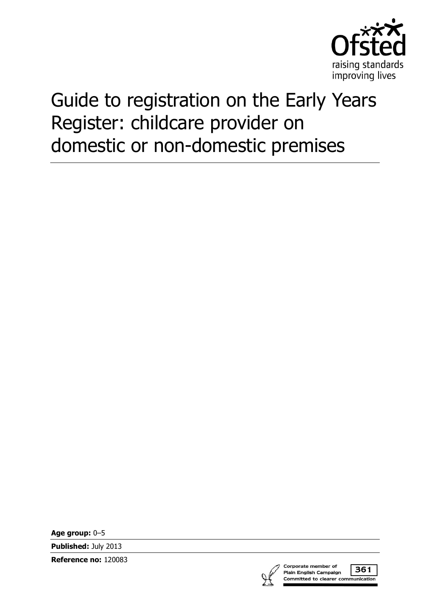

# Guide to registration on the Early Years Register: childcare provider on domestic or non-domestic premises

**Age group:** 0–5

**Published:** July 2013

**Reference no:** 120083



Corporate member of 361 Plain English Campaign Committed to clearer communication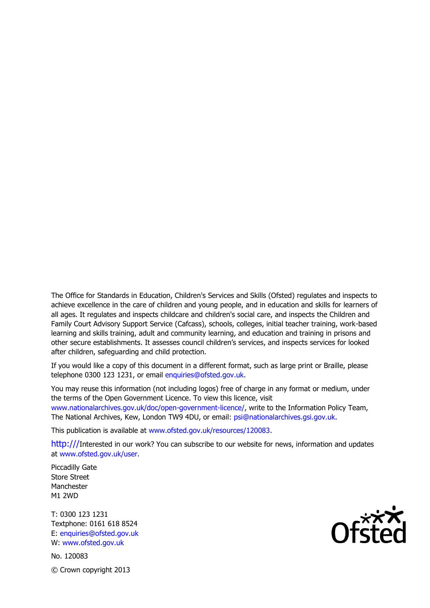The Office for Standards in Education, Children's Services and Skills (Ofsted) regulates and inspects to achieve excellence in the care of children and young people, and in education and skills for learners of all ages. It regulates and inspects childcare and children's social care, and inspects the Children and Family Court Advisory Support Service (Cafcass), schools, colleges, initial teacher training, work-based learning and skills training, adult and community learning, and education and training in prisons and other secure establishments. It assesses council children's services, and inspects services for looked after children, safeguarding and child protection.

If you would like a copy of this document in a different format, such as large print or Braille, please telephone 0300 123 1231, or email enquiries@ofsted.gov.uk.

You may reuse this information (not including logos) free of charge in any format or medium, under the terms of the Open Government Licence. To view this licence, visit www.nationalarchives.gov.uk/doc/open-government-licence/, write to the Information Policy Team, The National Archives, Kew, London TW9 4DU, or email: psi@nationalarchives.gsi.gov.uk.

This publication is available at www.ofsted.gov.uk/resources/120083.

http:///Interested in our work? You can subscribe to our website for news, information and updates at www.ofsted.gov.uk/user.

Piccadilly Gate Store Street Manchester M1 2WD

T: 0300 123 1231 Textphone: 0161 618 8524 E: enquiries@ofsted.gov.uk W: www.ofsted.gov.uk

No. 120083 © Crown copyright 2013

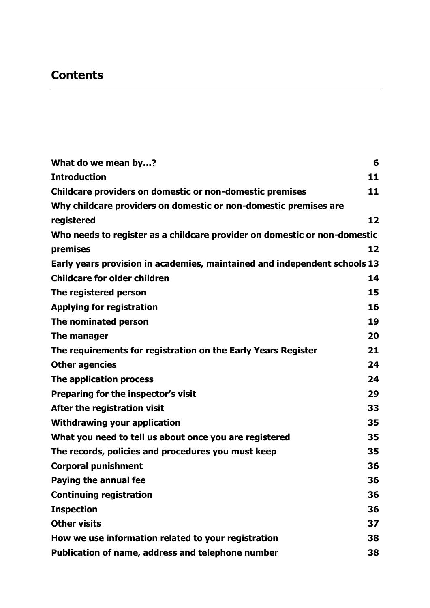# **Contents**

| What do we mean by?                                                       | 6  |
|---------------------------------------------------------------------------|----|
| <b>Introduction</b>                                                       | 11 |
| Childcare providers on domestic or non-domestic premises                  | 11 |
| Why childcare providers on domestic or non-domestic premises are          |    |
| registered                                                                | 12 |
| Who needs to register as a childcare provider on domestic or non-domestic |    |
| premises                                                                  | 12 |
| Early years provision in academies, maintained and independent schools 13 |    |
| <b>Childcare for older children</b>                                       | 14 |
| The registered person                                                     | 15 |
| <b>Applying for registration</b>                                          | 16 |
| The nominated person                                                      | 19 |
| The manager                                                               | 20 |
| The requirements for registration on the Early Years Register             | 21 |
| <b>Other agencies</b>                                                     | 24 |
| The application process                                                   | 24 |
| Preparing for the inspector's visit                                       | 29 |
| After the registration visit                                              | 33 |
| <b>Withdrawing your application</b>                                       | 35 |
| What you need to tell us about once you are registered                    | 35 |
| The records, policies and procedures you must keep                        | 35 |
| <b>Corporal punishment</b>                                                | 36 |
| <b>Paying the annual fee</b>                                              | 36 |
| <b>Continuing registration</b>                                            | 36 |
| <b>Inspection</b>                                                         | 36 |
| <b>Other visits</b>                                                       | 37 |
| How we use information related to your registration                       | 38 |
| Publication of name, address and telephone number                         | 38 |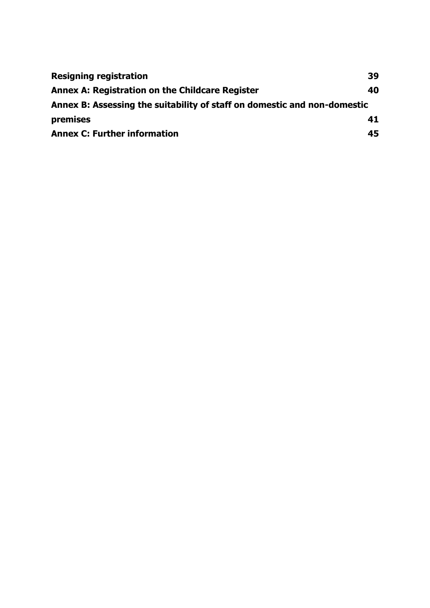| <b>Resigning registration</b>                                            | 39 |
|--------------------------------------------------------------------------|----|
| <b>Annex A: Registration on the Childcare Register</b>                   | 40 |
| Annex B: Assessing the suitability of staff on domestic and non-domestic |    |
| premises                                                                 | 41 |
| <b>Annex C: Further information</b>                                      | 45 |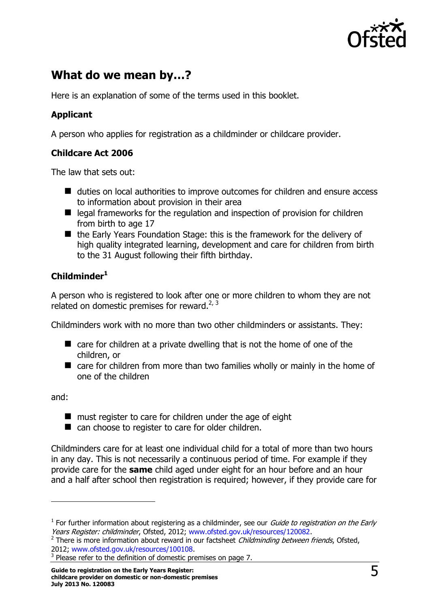

# <span id="page-4-0"></span>**What do we mean by…?**

Here is an explanation of some of the terms used in this booklet.

#### **Applicant**

A person who applies for registration as a childminder or childcare provider.

#### **Childcare Act 2006**

The law that sets out:

- duties on local authorities to improve outcomes for children and ensure access to information about provision in their area
- $\blacksquare$  legal frameworks for the regulation and inspection of provision for children from birth to age 17
- the Early Years Foundation Stage: this is the framework for the delivery of high quality integrated learning, development and care for children from birth to the 31 August following their fifth birthday.

### **Childminder<sup>1</sup>**

A person who is registered to look after one or more children to whom they are not related on domestic premises for reward.<sup>2, 3</sup>

Childminders work with no more than two other childminders or assistants. They:

- care for children at a private dwelling that is not the home of one of the children, or
- care for children from more than two families wholly or mainly in the home of one of the children

and:

 $\overline{a}$ 

- **nust register to care for children under the age of eight**
- can choose to register to care for older children.

Childminders care for at least one individual child for a total of more than two hours in any day. This is not necessarily a continuous period of time. For example if they provide care for the **same** child aged under eight for an hour before and an hour and a half after school then registration is required; however, if they provide care for

 $1$  For further information about registering as a childminder, see our *Guide to registration on the Early* Years Register: childminder, Ofsted, 2012; [www.ofsted.gov.uk/resources/120082.](http://www.ofsted.gov.uk/resources/guide-registration-early-years-register-childminder)

<sup>&</sup>lt;sup>2</sup> There is more information about reward in our factsheet Childminding between friends, Ofsted, 2012; [www.ofsted.gov.uk/resources/100108.](http://www.ofsted.gov.uk/resources/factsheet-childcare-childminding-between-friends)

 $3$  Please refer to the definition of domestic premises on page 7.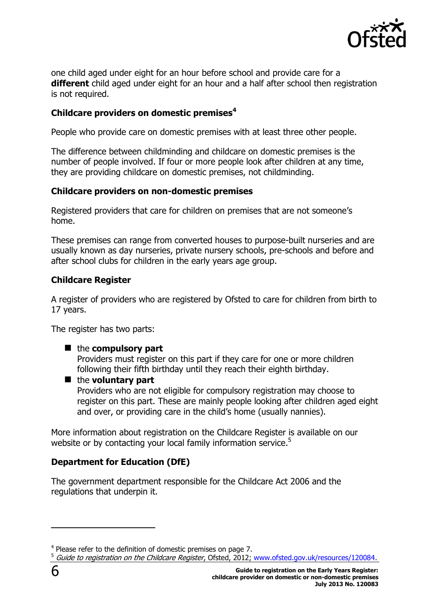

one child aged under eight for an hour before school and provide care for a **different** child aged under eight for an hour and a half after school then registration is not required.

#### **Childcare providers on domestic premises<sup>4</sup>**

People who provide care on domestic premises with at least three other people.

The difference between childminding and childcare on domestic premises is the number of people involved. If four or more people look after children at any time, they are providing childcare on domestic premises, not childminding.

#### **Childcare providers on non-domestic premises**

Registered providers that care for children on premises that are not someone's home.

These premises can range from converted houses to purpose-built nurseries and are usually known as day nurseries, private nursery schools, pre-schools and before and after school clubs for children in the early years age group.

#### **Childcare Register**

A register of providers who are registered by Ofsted to care for children from birth to 17 years.

The register has two parts:

#### ■ the **compulsory** part

Providers must register on this part if they care for one or more children following their fifth birthday until they reach their eighth birthday.

#### ■ the **voluntary part**

Providers who are not eligible for compulsory registration may choose to register on this part. These are mainly people looking after children aged eight and over, or providing care in the child's home (usually nannies).

More information about registration on the Childcare Register is available on our website or by contacting your local family information service.<sup>5</sup>

#### **Department for Education (DfE)**

The government department responsible for the Childcare Act 2006 and the regulations that underpin it.

<sup>5</sup> Guide to registration on the Childcare Register, Ofsted, 2012; [www.ofsted.gov.uk/resources/120084.](http://www.ofsted.gov.uk/resources/guide-registration-childcare-register)

<sup>&</sup>lt;sup>4</sup> Please refer to the definition of domestic premises on page 7.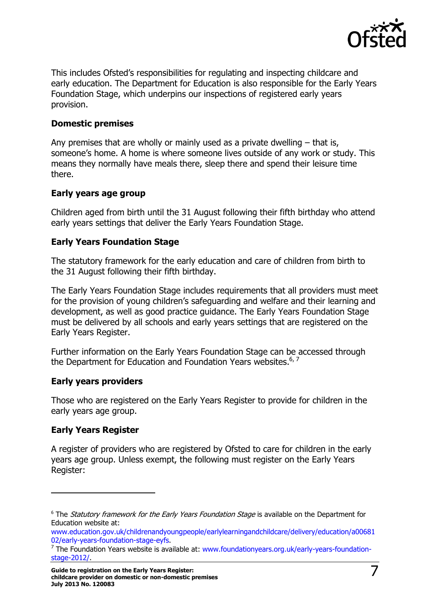

This includes Ofsted's responsibilities for regulating and inspecting childcare and early education. The Department for Education is also responsible for the Early Years Foundation Stage, which underpins our inspections of registered early years provision.

#### **Domestic premises**

Any premises that are wholly or mainly used as a private dwelling – that is, someone's home. A home is where someone lives outside of any work or study. This means they normally have meals there, sleep there and spend their leisure time there.

#### **Early years age group**

Children aged from birth until the 31 August following their fifth birthday who attend early years settings that deliver the Early Years Foundation Stage.

#### **Early Years Foundation Stage**

The statutory framework for the early education and care of children from birth to the 31 August following their fifth birthday.

The Early Years Foundation Stage includes requirements that all providers must meet for the provision of young children's safeguarding and welfare and their learning and development, as well as good practice guidance. The Early Years Foundation Stage must be delivered by all schools and early years settings that are registered on the Early Years Register.

Further information on the Early Years Foundation Stage can be accessed through the Department for Education and Foundation Years websites.<sup>6, 7</sup>

#### **Early years providers**

Those who are registered on the Early Years Register to provide for children in the early years age group.

#### **Early Years Register**

j

A register of providers who are registered by Ofsted to care for children in the early years age group. Unless exempt, the following must register on the Early Years Register:

<sup>&</sup>lt;sup>6</sup> The *Statutory framework for the Early Years Foundation Stage* is available on the Department for Education website at:

[www.education.gov.uk/childrenandyoungpeople/earlylearningandchildcare/delivery/education/a00681](http://www.education.gov.uk/childrenandyoungpeople/earlylearningandchildcare/delivery/education/a0068102/early-years-foundation-stage-eyfs) [02/early-years-foundation-stage-eyfs.](http://www.education.gov.uk/childrenandyoungpeople/earlylearningandchildcare/delivery/education/a0068102/early-years-foundation-stage-eyfs)

<sup>&</sup>lt;sup>7</sup> The Foundation Years website is available at: [www.foundationyears.org.uk/early-years-foundation](http://www.foundationyears.org.uk/early-years-foundation-stage-2012/)[stage-2012/.](http://www.foundationyears.org.uk/early-years-foundation-stage-2012/)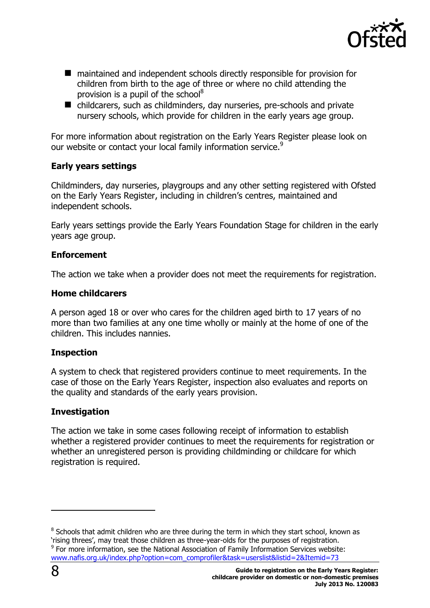

- maintained and independent schools directly responsible for provision for children from birth to the age of three or where no child attending the provision is a pupil of the school<sup>8</sup>
- childcarers, such as childminders, day nurseries, pre-schools and private nursery schools, which provide for children in the early years age group.

For more information about registration on the Early Years Register please look on our website or contact your local family information service.<sup>9</sup>

#### **Early years settings**

Childminders, day nurseries, playgroups and any other setting registered with Ofsted on the Early Years Register, including in children's centres, maintained and independent schools.

Early years settings provide the Early Years Foundation Stage for children in the early years age group.

#### **Enforcement**

The action we take when a provider does not meet the requirements for registration.

#### **Home childcarers**

A person aged 18 or over who cares for the children aged birth to 17 years of no more than two families at any one time wholly or mainly at the home of one of the children. This includes nannies.

#### **Inspection**

A system to check that registered providers continue to meet requirements. In the case of those on the Early Years Register, inspection also evaluates and reports on the quality and standards of the early years provision.

#### **Investigation**

The action we take in some cases following receipt of information to establish whether a registered provider continues to meet the requirements for registration or whether an unregistered person is providing childminding or childcare for which registration is required.

 $\overline{a}$ 

 $8$  Schools that admit children who are three during the term in which they start school, known as 'rising threes', may treat those children as three-year-olds for the purposes of registration.

 $9$  For more information, see the National Association of Family Information Services website: [www.nafis.org.uk/index.php?option=com\\_comprofiler&task=userslist&listid=2&Itemid=73](http://www.familyinformationservices.org.uk/contactcis/england/index.htm)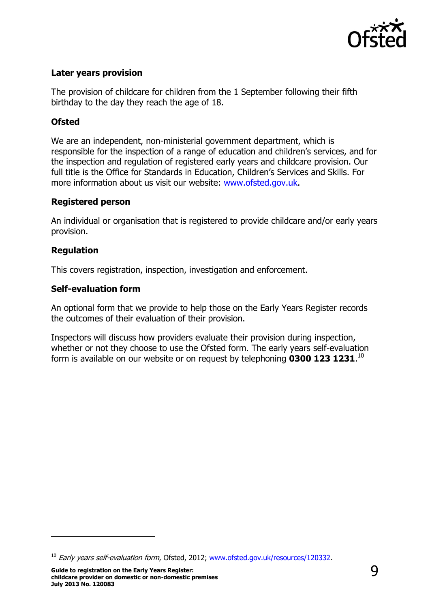

#### **Later years provision**

The provision of childcare for children from the 1 September following their fifth birthday to the day they reach the age of 18.

#### **Ofsted**

We are an independent, non-ministerial government department, which is responsible for the inspection of a range of education and children's services, and for the inspection and regulation of registered early years and childcare provision. Our full title is the Office for Standards in Education, Children's Services and Skills. For more information about us visit our website: [www.ofsted.gov.uk.](http://www.ofsted.gov.uk/)

#### **Registered person**

An individual or organisation that is registered to provide childcare and/or early years provision.

#### **Regulation**

<span id="page-8-0"></span>j

This covers registration, inspection, investigation and enforcement.

#### **Self-evaluation form**

An optional form that we provide to help those on the Early Years Register records the outcomes of their evaluation of their provision.

Inspectors will discuss how providers evaluate their provision during inspection, whether or not they choose to use the Ofsted form. The early years self-evaluation form is available on our website or on request by telephoning **0300 123 1231**. 10

<sup>&</sup>lt;sup>10</sup> Early years self-evaluation form, Ofsted, 2012; [www.ofsted.gov.uk/resources/120332.](http://www.ofsted.gov.uk/resources/early-years-online-self-evaluation-form-sef-and-guidance-for-providers-delivering-early-years-founda)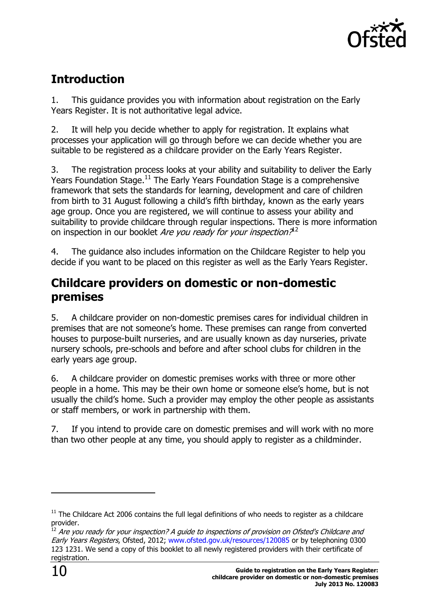

# **Introduction**

1. This guidance provides you with information about registration on the Early Years Register. It is not authoritative legal advice.

2. It will help you decide whether to apply for registration. It explains what processes your application will go through before we can decide whether you are suitable to be registered as a childcare provider on the Early Years Register.

3. The registration process looks at your ability and suitability to deliver the Early Years Foundation Stage.<sup>11</sup> The Early Years Foundation Stage is a comprehensive framework that sets the standards for learning, development and care of children from birth to 31 August following a child's fifth birthday, known as the early years age group. Once you are registered, we will continue to assess your ability and suitability to provide childcare through regular inspections. There is more information on inspection in our booklet Are you ready for your inspection?<sup>12</sup>

4. The guidance also includes information on the Childcare Register to help you decide if you want to be placed on this register as well as the Early Years Register.

# <span id="page-9-0"></span>**Childcare providers on domestic or non-domestic premises**

5. A childcare provider on non-domestic premises cares for individual children in premises that are not someone's home. These premises can range from converted houses to purpose-built nurseries, and are usually known as day nurseries, private nursery schools, pre-schools and before and after school clubs for children in the early years age group.

6. A childcare provider on domestic premises works with three or more other people in a home. This may be their own home or someone else's home, but is not usually the child's home. Such a provider may employ the other people as assistants or staff members, or work in partnership with them.

7. If you intend to provide care on domestic premises and will work with no more than two other people at any time, you should apply to register as a childminder.

 $11$  The Childcare Act 2006 contains the full legal definitions of who needs to register as a childcare provider.

 $^{12}$  Are you ready for your inspection? A guide to inspections of provision on Ofsted's Childcare and Early Years Registers, Ofsted, 2012; [www.ofsted.gov.uk/resources/120085](http://www.ofsted.gov.uk/resources/are-you-ready-for-your-inspection-guide-inspections-of-provision-ofsteds-childcare-and-early-years-r) or by telephoning 0300 123 1231. We send a copy of this booklet to all newly registered providers with their certificate of registration.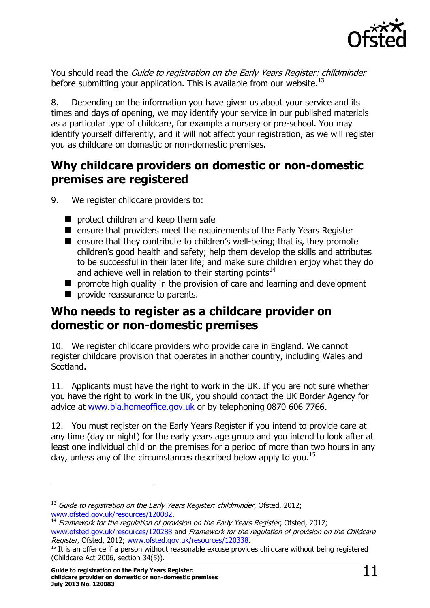

You should read the Guide to registration on the Early Years Register: childminder before submitting your application. This is available from our website.<sup>13</sup>

8. Depending on the information you have given us about your service and its times and days of opening, we may identify your service in our published materials as a particular type of childcare, for example a nursery or pre-school. You may identify yourself differently, and it will not affect your registration, as we will register you as childcare on domestic or non-domestic premises.

# <span id="page-10-0"></span>**Why childcare providers on domestic or non-domestic premises are registered**

- 9. We register childcare providers to:
	- **P** protect children and keep them safe
	- $\blacksquare$  ensure that providers meet the requirements of the Early Years Register
	- $\blacksquare$  ensure that they contribute to children's well-being; that is, they promote children's good health and safety; help them develop the skills and attributes to be successful in their later life; and make sure children enjoy what they do and achieve well in relation to their starting points $14$
	- $\blacksquare$  promote high quality in the provision of care and learning and development
	- **P** provide reassurance to parents.

# <span id="page-10-1"></span>**Who needs to register as a childcare provider on domestic or non-domestic premises**

10. We register childcare providers who provide care in England. We cannot register childcare provision that operates in another country, including Wales and Scotland.

11. Applicants must have the right to work in the UK. If you are not sure whether you have the right to work in the UK, you should contact the UK Border Agency for advice at [www.bia.homeoffice.gov.uk](http://www.bia.homeoffice.gov.uk/) or by telephoning 0870 606 7766.

12. You must register on the Early Years Register if you intend to provide care at any time (day or night) for the early years age group and you intend to look after at least one individual child on the premises for a period of more than two hours in any day, unless any of the circumstances described below apply to you.<sup>15</sup>

 $13$  Guide to registration on the Early Years Register: childminder, Ofsted, 2012; [www.ofsted.gov.uk/resources/120082.](http://www.ofsted.gov.uk/resources/guide-registration-early-years-register-childminder)

 $14$  Framework for the regulation of provision on the Early Years Register, Ofsted, 2012; [www.ofsted.gov.uk/resources/120288](http://www.ofsted.gov.uk/resources/framework-for-regulation-of-provision-early-years-register) and Framework for the regulation of provision on the Childcare Register, Ofsted, 2012; [www.ofsted.gov.uk/resources/120338.](http://www.ofsted.gov.uk/resources/framework-for-regulation-of-provision-childcare-register)

<sup>&</sup>lt;sup>15</sup> It is an offence if a person without reasonable excuse provides childcare without being registered (Childcare Act 2006, section 34(5)).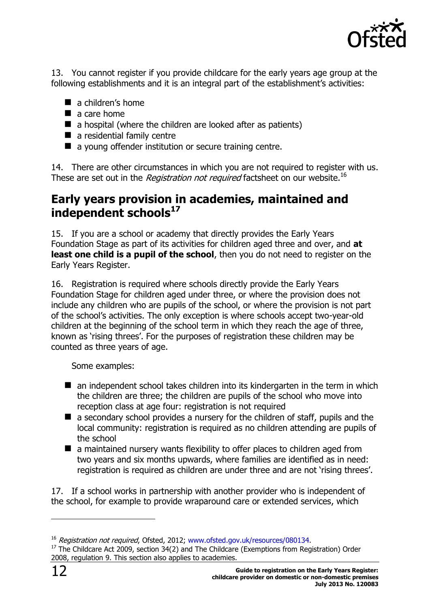

13. You cannot register if you provide childcare for the early years age group at the following establishments and it is an integral part of the establishment's activities:

- $\blacksquare$  a children's home
- $\blacksquare$  a care home
- $\blacksquare$  a hospital (where the children are looked after as patients)
- $\blacksquare$  a residential family centre
- a young offender institution or secure training centre.

14. There are other circumstances in which you are not required to register with us. These are set out in the *Registration not required* factsheet on our website.<sup>16</sup>

# <span id="page-11-0"></span>**Early years provision in academies, maintained and independent schools<sup>17</sup>**

15. If you are a school or academy that directly provides the Early Years Foundation Stage as part of its activities for children aged three and over, and **at least one child is a pupil of the school**, then you do not need to register on the Early Years Register.

16. Registration is required where schools directly provide the Early Years Foundation Stage for children aged under three, or where the provision does not include any children who are pupils of the school, or where the provision is not part of the school's activities. The only exception is where schools accept two-year-old children at the beginning of the school term in which they reach the age of three, known as 'rising threes'. For the purposes of registration these children may be counted as three years of age.

Some examples:

- $\blacksquare$  an independent school takes children into its kindergarten in the term in which the children are three; the children are pupils of the school who move into reception class at age four: registration is not required
- $\blacksquare$  a secondary school provides a nursery for the children of staff, pupils and the local community: registration is required as no children attending are pupils of the school
- a maintained nursery wants flexibility to offer places to children aged from two years and six months upwards, where families are identified as in need: registration is required as children are under three and are not 'rising threes'.

17. If a school works in partnership with another provider who is independent of the school, for example to provide wraparound care or extended services, which

<sup>&</sup>lt;sup>16</sup> Registration not required, Ofsted, 2012; [www.ofsted.gov.uk/resources/080134.](http://www.ofsted.gov.uk/resources/factsheet-childcare-registration-not-required)

<sup>&</sup>lt;sup>17</sup> The Childcare Act 2009, section 34(2) and The Childcare (Exemptions from Registration) Order 2008, regulation 9. This section also applies to academies.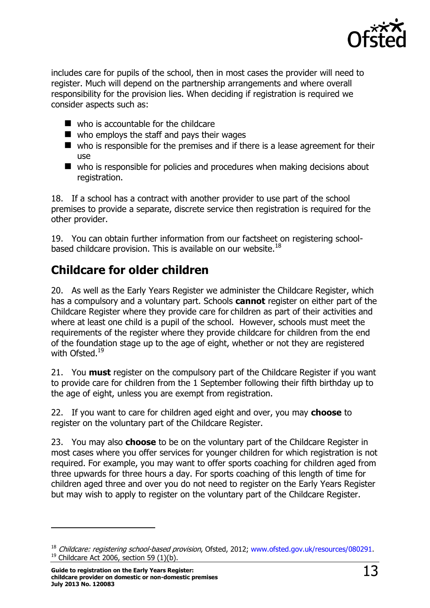

includes care for pupils of the school, then in most cases the provider will need to register. Much will depend on the partnership arrangements and where overall responsibility for the provision lies. When deciding if registration is required we consider aspects such as:

- who is accountable for the childcare
- $\blacksquare$  who employs the staff and pays their wages
- $\blacksquare$  who is responsible for the premises and if there is a lease agreement for their use
- who is responsible for policies and procedures when making decisions about registration.

18. If a school has a contract with another provider to use part of the school premises to provide a separate, discrete service then registration is required for the other provider.

19. You can obtain further information from our factsheet on registering schoolbased childcare provision. This is available on our website.<sup>18</sup>

# <span id="page-12-0"></span>**Childcare for older children**

20. As well as the Early Years Register we administer the Childcare Register, which has a compulsory and a voluntary part. Schools **cannot** register on either part of the Childcare Register where they provide care for children as part of their activities and where at least one child is a pupil of the school. However, schools must meet the requirements of the register where they provide childcare for children from the end of the foundation stage up to the age of eight, whether or not they are registered with Ofsted. 19

21. You **must** register on the compulsory part of the Childcare Register if you want to provide care for children from the 1 September following their fifth birthday up to the age of eight, unless you are exempt from registration.

22. If you want to care for children aged eight and over, you may **choose** to register on the voluntary part of the Childcare Register.

23. You may also **choose** to be on the voluntary part of the Childcare Register in most cases where you offer services for younger children for which registration is not required. For example, you may want to offer sports coaching for children aged from three upwards for three hours a day. For sports coaching of this length of time for children aged three and over you do not need to register on the Early Years Register but may wish to apply to register on the voluntary part of the Childcare Register.

<sup>&</sup>lt;sup>18</sup> Childcare: registering school-based provision, Ofsted, 2012; [www.ofsted.gov.uk/resources/080291.](http://www.ofsted.gov.uk/resources/factsheet-childcare-registering-school-based-provision)  $19$  Childcare Act 2006, section 59 (1)(b).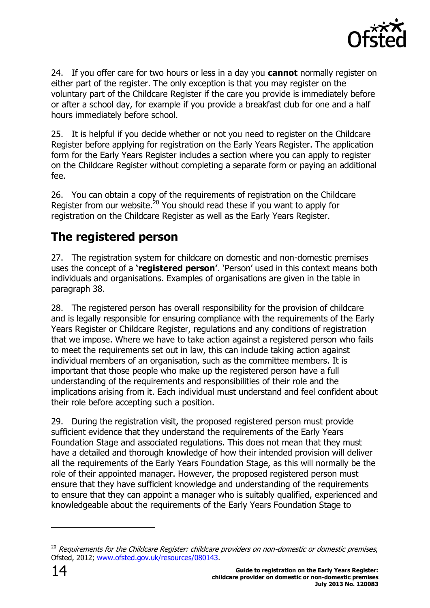

24. If you offer care for two hours or less in a day you **cannot** normally register on either part of the register. The only exception is that you may register on the voluntary part of the Childcare Register if the care you provide is immediately before or after a school day, for example if you provide a breakfast club for one and a half hours immediately before school.

25. It is helpful if you decide whether or not you need to register on the Childcare Register before applying for registration on the Early Years Register. The application form for the Early Years Register includes a section where you can apply to register on the Childcare Register without completing a separate form or paying an additional fee.

26. You can obtain a copy of the requirements of registration on the Childcare Register from our website. $^{20}$  You should read these if you want to apply for registration on the Childcare Register as well as the Early Years Register.

# <span id="page-13-0"></span>**The registered person**

27. The registration system for childcare on domestic and non-domestic premises uses the concept of a **'registered person'**. 'Person' used in this context means both individuals and organisations. Examples of organisations are given in the table in paragraph 38.

28. The registered person has overall responsibility for the provision of childcare and is legally responsible for ensuring compliance with the requirements of the Early Years Register or Childcare Register, regulations and any conditions of registration that we impose. Where we have to take action against a registered person who fails to meet the requirements set out in law, this can include taking action against individual members of an organisation, such as the committee members. It is important that those people who make up the registered person have a full understanding of the requirements and responsibilities of their role and the implications arising from it. Each individual must understand and feel confident about their role before accepting such a position.

29. During the registration visit, the proposed registered person must provide sufficient evidence that they understand the requirements of the Early Years Foundation Stage and associated regulations. This does not mean that they must have a detailed and thorough knowledge of how their intended provision will deliver all the requirements of the Early Years Foundation Stage, as this will normally be the role of their appointed manager. However, the proposed registered person must ensure that they have sufficient knowledge and understanding of the requirements to ensure that they can appoint a manager who is suitably qualified, experienced and knowledgeable about the requirements of the Early Years Foundation Stage to

 $20$  Requirements for the Childcare Register: childcare providers on non-domestic or domestic premises, Ofsted, 2012; [www.ofsted.gov.uk/resources/080143.](http://www.ofsted.gov.uk/resources/factsheet-childcare-requirements-for-childcare-register-childcare-providers-non-domestic-or-domestic)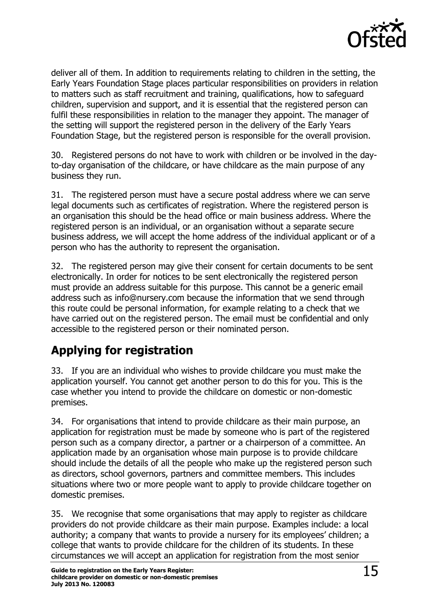

deliver all of them. In addition to requirements relating to children in the setting, the Early Years Foundation Stage places particular responsibilities on providers in relation to matters such as staff recruitment and training, qualifications, how to safeguard children, supervision and support, and it is essential that the registered person can fulfil these responsibilities in relation to the manager they appoint. The manager of the setting will support the registered person in the delivery of the Early Years Foundation Stage, but the registered person is responsible for the overall provision.

30. Registered persons do not have to work with children or be involved in the dayto-day organisation of the childcare, or have childcare as the main purpose of any business they run.

31. The registered person must have a secure postal address where we can serve legal documents such as certificates of registration. Where the registered person is an organisation this should be the head office or main business address. Where the registered person is an individual, or an organisation without a separate secure business address, we will accept the home address of the individual applicant or of a person who has the authority to represent the organisation.

32. The registered person may give their consent for certain documents to be sent electronically. In order for notices to be sent electronically the registered person must provide an address suitable for this purpose. This cannot be a generic email address such as info@nursery.com because the information that we send through this route could be personal information, for example relating to a check that we have carried out on the registered person. The email must be confidential and only accessible to the registered person or their nominated person.

# <span id="page-14-0"></span>**Applying for registration**

33. If you are an individual who wishes to provide childcare you must make the application yourself. You cannot get another person to do this for you. This is the case whether you intend to provide the childcare on domestic or non-domestic premises.

34. For organisations that intend to provide childcare as their main purpose, an application for registration must be made by someone who is part of the registered person such as a company director, a partner or a chairperson of a committee. An application made by an organisation whose main purpose is to provide childcare should include the details of all the people who make up the registered person such as directors, school governors, partners and committee members. This includes situations where two or more people want to apply to provide childcare together on domestic premises.

35. We recognise that some organisations that may apply to register as childcare providers do not provide childcare as their main purpose. Examples include: a local authority; a company that wants to provide a nursery for its employees' children; a college that wants to provide childcare for the children of its students. In these circumstances we will accept an application for registration from the most senior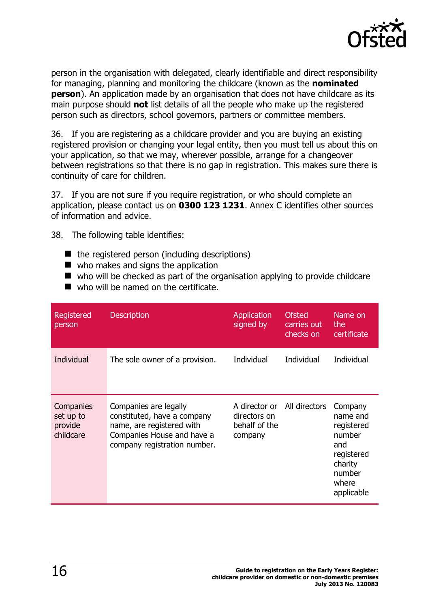

person in the organisation with delegated, clearly identifiable and direct responsibility for managing, planning and monitoring the childcare (known as the **nominated person**). An application made by an organisation that does not have childcare as its main purpose should **not** list details of all the people who make up the registered person such as directors, school governors, partners or committee members.

36. If you are registering as a childcare provider and you are buying an existing registered provision or changing your legal entity, then you must tell us about this on your application, so that we may, wherever possible, arrange for a changeover between registrations so that there is no gap in registration. This makes sure there is continuity of care for children.

37. If you are not sure if you require registration, or who should complete an application, please contact us on **0300 123 1231**. Annex C identifies other sources of information and advice.

38. The following table identifies:

- $\blacksquare$  the registered person (including descriptions)
- who makes and signs the application
- who will be checked as part of the organisation applying to provide childcare
- who will be named on the certificate.

| Registered<br>person                           | <b>Description</b>                                                                                                                              | <b>Application</b><br>signed by                           | <b>Ofsted</b><br>carries out<br>checks on | Name on<br>the<br>certificate                                                                                |
|------------------------------------------------|-------------------------------------------------------------------------------------------------------------------------------------------------|-----------------------------------------------------------|-------------------------------------------|--------------------------------------------------------------------------------------------------------------|
| Individual                                     | The sole owner of a provision.                                                                                                                  | Individual                                                | Individual                                | Individual                                                                                                   |
| Companies<br>set up to<br>provide<br>childcare | Companies are legally<br>constituted, have a company<br>name, are registered with<br>Companies House and have a<br>company registration number. | A director or<br>directors on<br>behalf of the<br>company | All directors                             | Company<br>name and<br>registered<br>number<br>and<br>registered<br>charity<br>number<br>where<br>applicable |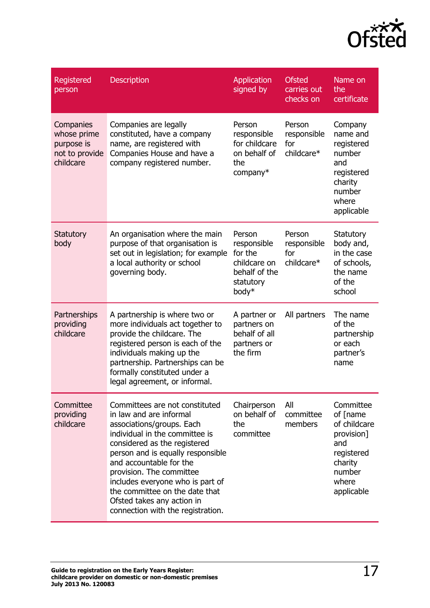

| Registered<br>person                                                  | <b>Description</b>                                                                                                                                                                                                                                                                                                                                                                            | Application<br>signed by                                                                | <b>Ofsted</b><br>carries out<br>checks on  | Name on<br>the<br>certificate                                                                                        |
|-----------------------------------------------------------------------|-----------------------------------------------------------------------------------------------------------------------------------------------------------------------------------------------------------------------------------------------------------------------------------------------------------------------------------------------------------------------------------------------|-----------------------------------------------------------------------------------------|--------------------------------------------|----------------------------------------------------------------------------------------------------------------------|
| Companies<br>whose prime<br>purpose is<br>not to provide<br>childcare | Companies are legally<br>constituted, have a company<br>name, are registered with<br>Companies House and have a<br>company registered number.                                                                                                                                                                                                                                                 | Person<br>responsible<br>for childcare<br>on behalf of<br>the<br>company*               | Person<br>responsible<br>for<br>childcare* | Company<br>name and<br>registered<br>number<br>and<br>registered<br>charity<br>number<br>where<br>applicable         |
| <b>Statutory</b><br>body                                              | An organisation where the main<br>purpose of that organisation is<br>set out in legislation; for example<br>a local authority or school<br>governing body.                                                                                                                                                                                                                                    | Person<br>responsible<br>for the<br>childcare on<br>behalf of the<br>statutory<br>body* | Person<br>responsible<br>for<br>childcare* | Statutory<br>body and,<br>in the case<br>of schools,<br>the name<br>of the<br>school                                 |
| Partnerships<br>providing<br>childcare                                | A partnership is where two or<br>more individuals act together to<br>provide the childcare. The<br>registered person is each of the<br>individuals making up the<br>partnership. Partnerships can be<br>formally constituted under a<br>legal agreement, or informal.                                                                                                                         | A partner or<br>partners on<br>behalf of all<br>partners or<br>the firm                 | All partners                               | The name<br>of the<br>partnership<br>or each<br>partner's<br>name                                                    |
| Committee<br>providing<br>childcare                                   | Committees are not constituted<br>in law and are informal<br>associations/groups. Each<br>individual in the committee is<br>considered as the registered<br>person and is equally responsible<br>and accountable for the<br>provision. The committee<br>includes everyone who is part of<br>the committee on the date that<br>Ofsted takes any action in<br>connection with the registration. | Chairperson<br>on behalf of<br>the<br>committee                                         | All<br>committee<br>members                | Committee<br>of [name<br>of childcare<br>provision]<br>and<br>registered<br>charity<br>number<br>where<br>applicable |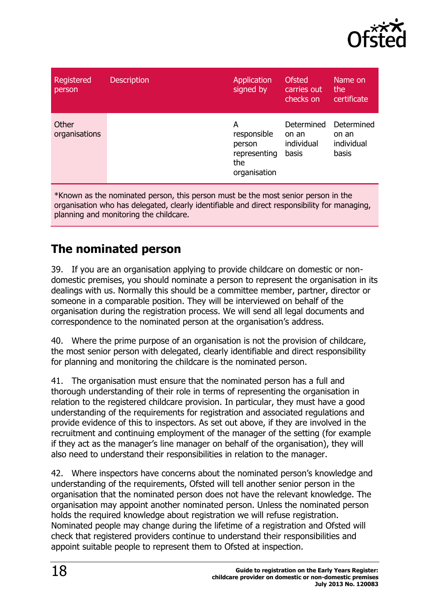

| Registered<br>person   | <b>Description</b> | Application<br>signed by                                          | <b>Ofsted</b><br>carries out<br>checks on  | Name on<br>the<br>certificate              |
|------------------------|--------------------|-------------------------------------------------------------------|--------------------------------------------|--------------------------------------------|
| Other<br>organisations |                    | A<br>responsible<br>person<br>representing<br>the<br>organisation | Determined<br>on an<br>individual<br>basis | Determined<br>on an<br>individual<br>basis |

\*Known as the nominated person, this person must be the most senior person in the organisation who has delegated, clearly identifiable and direct responsibility for managing, planning and monitoring the childcare.

# <span id="page-17-0"></span>**The nominated person**

39. If you are an organisation applying to provide childcare on domestic or nondomestic premises, you should nominate a person to represent the organisation in its dealings with us. Normally this should be a committee member, partner, director or someone in a comparable position. They will be interviewed on behalf of the organisation during the registration process. We will send all legal documents and correspondence to the nominated person at the organisation's address.

40. Where the prime purpose of an organisation is not the provision of childcare, the most senior person with delegated, clearly identifiable and direct responsibility for planning and monitoring the childcare is the nominated person.

41. The organisation must ensure that the nominated person has a full and thorough understanding of their role in terms of representing the organisation in relation to the registered childcare provision. In particular, they must have a good understanding of the requirements for registration and associated regulations and provide evidence of this to inspectors. As set out above, if they are involved in the recruitment and continuing employment of the manager of the setting (for example if they act as the manager's line manager on behalf of the organisation), they will also need to understand their responsibilities in relation to the manager.

42. Where inspectors have concerns about the nominated person's knowledge and understanding of the requirements, Ofsted will tell another senior person in the organisation that the nominated person does not have the relevant knowledge. The organisation may appoint another nominated person. Unless the nominated person holds the required knowledge about registration we will refuse registration. Nominated people may change during the lifetime of a registration and Ofsted will check that registered providers continue to understand their responsibilities and appoint suitable people to represent them to Ofsted at inspection.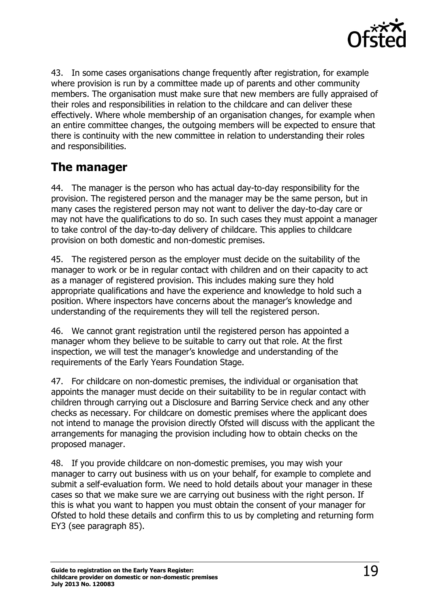

43. In some cases organisations change frequently after registration, for example where provision is run by a committee made up of parents and other community members. The organisation must make sure that new members are fully appraised of their roles and responsibilities in relation to the childcare and can deliver these effectively. Where whole membership of an organisation changes, for example when an entire committee changes, the outgoing members will be expected to ensure that there is continuity with the new committee in relation to understanding their roles and responsibilities.

# <span id="page-18-0"></span>**The manager**

44. The manager is the person who has actual day-to-day responsibility for the provision. The registered person and the manager may be the same person, but in many cases the registered person may not want to deliver the day-to-day care or may not have the qualifications to do so. In such cases they must appoint a manager to take control of the day-to-day delivery of childcare. This applies to childcare provision on both domestic and non-domestic premises.

45. The registered person as the employer must decide on the suitability of the manager to work or be in regular contact with children and on their capacity to act as a manager of registered provision. This includes making sure they hold appropriate qualifications and have the experience and knowledge to hold such a position. Where inspectors have concerns about the manager's knowledge and understanding of the requirements they will tell the registered person.

46. We cannot grant registration until the registered person has appointed a manager whom they believe to be suitable to carry out that role. At the first inspection, we will test the manager's knowledge and understanding of the requirements of the Early Years Foundation Stage.

47. For childcare on non-domestic premises, the individual or organisation that appoints the manager must decide on their suitability to be in regular contact with children through carrying out a Disclosure and Barring Service check and any other checks as necessary. For childcare on domestic premises where the applicant does not intend to manage the provision directly Ofsted will discuss with the applicant the arrangements for managing the provision including how to obtain checks on the proposed manager.

48. If you provide childcare on non-domestic premises, you may wish your manager to carry out business with us on your behalf, for example to complete and submit a self-evaluation form. We need to hold details about your manager in these cases so that we make sure we are carrying out business with the right person. If this is what you want to happen you must obtain the consent of your manager for Ofsted to hold these details and confirm this to us by completing and returning form EY3 (see paragraph 85).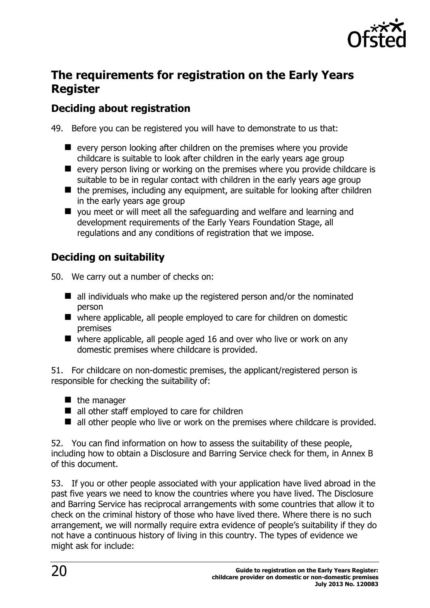

# <span id="page-19-0"></span>**The requirements for registration on the Early Years Register**

### **Deciding about registration**

49. Before you can be registered you will have to demonstrate to us that:

- $\blacksquare$  every person looking after children on the premises where you provide childcare is suitable to look after children in the early years age group
- $\blacksquare$  every person living or working on the premises where you provide childcare is suitable to be in regular contact with children in the early years age group
- $\blacksquare$  the premises, including any equipment, are suitable for looking after children in the early years age group
- you meet or will meet all the safeguarding and welfare and learning and development requirements of the Early Years Foundation Stage, all regulations and any conditions of registration that we impose.

### **Deciding on suitability**

50. We carry out a number of checks on:

- $\blacksquare$  all individuals who make up the registered person and/or the nominated person
- where applicable, all people employed to care for children on domestic premises
- $\blacksquare$  where applicable, all people aged 16 and over who live or work on any domestic premises where childcare is provided.

51. For childcare on non-domestic premises, the applicant/registered person is responsible for checking the suitability of:

- $\blacksquare$  the manager
- all other staff employed to care for children
- all other people who live or work on the premises where childcare is provided.

52. You can find information on how to assess the suitability of these people, including how to obtain a Disclosure and Barring Service check for them, in Annex B of this document.

53. If you or other people associated with your application have lived abroad in the past five years we need to know the countries where you have lived. The Disclosure and Barring Service has reciprocal arrangements with some countries that allow it to check on the criminal history of those who have lived there. Where there is no such arrangement, we will normally require extra evidence of people's suitability if they do not have a continuous history of living in this country. The types of evidence we might ask for include: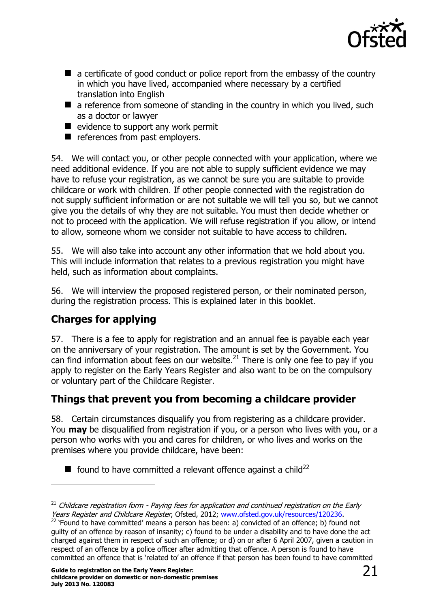

- a certificate of good conduct or police report from the embassy of the country in which you have lived, accompanied where necessary by a certified translation into English
- $\blacksquare$  a reference from someone of standing in the country in which you lived, such as a doctor or lawyer
- $\blacksquare$  evidence to support any work permit
- references from past employers.

54. We will contact you, or other people connected with your application, where we need additional evidence. If you are not able to supply sufficient evidence we may have to refuse your registration, as we cannot be sure you are suitable to provide childcare or work with children. If other people connected with the registration do not supply sufficient information or are not suitable we will tell you so, but we cannot give you the details of why they are not suitable. You must then decide whether or not to proceed with the application. We will refuse registration if you allow, or intend to allow, someone whom we consider not suitable to have access to children.

55. We will also take into account any other information that we hold about you. This will include information that relates to a previous registration you might have held, such as information about complaints.

56. We will interview the proposed registered person, or their nominated person, during the registration process. This is explained later in this booklet.

# **Charges for applying**

j

57. There is a fee to apply for registration and an annual fee is payable each year on the anniversary of your registration. The amount is set by the Government. You can find information about fees on our website. $^{21}$  There is only one fee to pay if you apply to register on the Early Years Register and also want to be on the compulsory or voluntary part of the Childcare Register.

# **Things that prevent you from becoming a childcare provider**

58. Certain circumstances disqualify you from registering as a childcare provider. You **may** be disqualified from registration if you, or a person who lives with you, or a person who works with you and cares for children, or who lives and works on the premises where you provide childcare, have been:

 $\blacksquare$  found to have committed a relevant offence against a child<sup>22</sup>

 $21$  Childcare registration form - Paying fees for application and continued registration on the Early Years Register and Childcare Register, Ofsted, 2012; [www.ofsted.gov.uk/resources/120236.](http://www.ofsted.gov.uk/resources/childcare-registration-form-paying-fees-for-application-and-continued-registration-early-years-regis)

 $22$  'Found to have committed' means a person has been: a) convicted of an offence; b) found not guilty of an offence by reason of insanity; c) found to be under a disability and to have done the act charged against them in respect of such an offence; or d) on or after 6 April 2007, given a caution in respect of an offence by a police officer after admitting that offence. A person is found to have committed an offence that is 'related to' an offence if that person has been found to have committed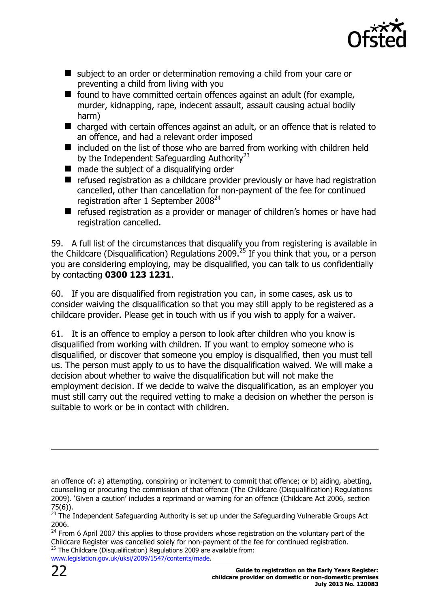

- subject to an order or determination removing a child from your care or preventing a child from living with you
- $\blacksquare$  found to have committed certain offences against an adult (for example, murder, kidnapping, rape, indecent assault, assault causing actual bodily harm)
- charged with certain offences against an adult, or an offence that is related to an offence, and had a relevant order imposed
- $\blacksquare$  included on the list of those who are barred from working with children held by the Independent Safeguarding Authority<sup>23</sup>
- made the subject of a disqualifying order
- $\blacksquare$  refused registration as a childcare provider previously or have had registration cancelled, other than cancellation for non-payment of the fee for continued registration after 1 September  $2008<sup>24</sup>$
- refused registration as a provider or manager of children's homes or have had registration cancelled.

59. A full list of the circumstances that disqualify you from registering is available in the Childcare (Disqualification) Regulations 2009.<sup>25</sup> If you think that you, or a person you are considering employing, may be disqualified, you can talk to us confidentially by contacting **0300 123 1231**.

60. If you are disqualified from registration you can, in some cases, ask us to consider waiving the disqualification so that you may still apply to be registered as a childcare provider. Please get in touch with us if you wish to apply for a waiver.

61. It is an offence to employ a person to look after children who you know is disqualified from working with children. If you want to employ someone who is disqualified, or discover that someone you employ is disqualified, then you must tell us. The person must apply to us to have the disqualification waived. We will make a decision about whether to waive the disqualification but will not make the employment decision. If we decide to waive the disqualification, as an employer you must still carry out the required vetting to make a decision on whether the person is suitable to work or be in contact with children.

[www.legislation.gov.uk/uksi/2009/1547/contents/made.](http://www.legislation.gov.uk/uksi/2009/1547/contents/made)

an offence of: a) attempting, conspiring or incitement to commit that offence; or b) aiding, abetting, counselling or procuring the commission of that offence (The Childcare (Disqualification) Regulations 2009). 'Given a caution' includes a reprimand or warning for an offence (Childcare Act 2006, section 75(6)).

 $23$  The Independent Safeguarding Authority is set up under the Safeguarding Vulnerable Groups Act 2006.

<sup>&</sup>lt;sup>24</sup> From 6 April 2007 this applies to those providers whose registration on the voluntary part of the Childcare Register was cancelled solely for non-payment of the fee for continued registration.  $25$  The Childcare (Disqualification) Regulations 2009 are available from: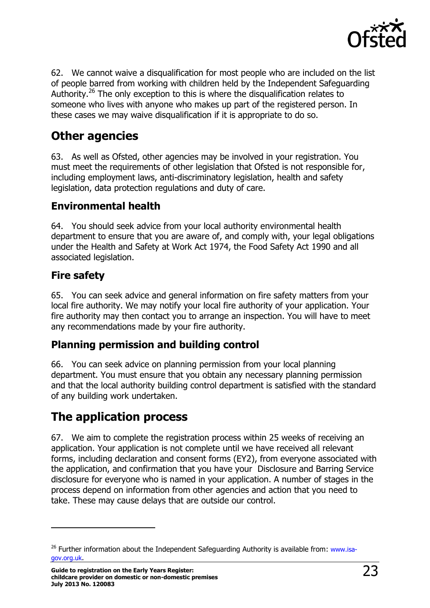

62. We cannot waive a disqualification for most people who are included on the list of people barred from working with children held by the Independent Safeguarding Authority.<sup>26</sup> The only exception to this is where the disqualification relates to someone who lives with anyone who makes up part of the registered person. In these cases we may waive disqualification if it is appropriate to do so.

# <span id="page-22-0"></span>**Other agencies**

63. As well as Ofsted, other agencies may be involved in your registration. You must meet the requirements of other legislation that Ofsted is not responsible for, including employment laws, anti-discriminatory legislation, health and safety legislation, data protection regulations and duty of care.

### **Environmental health**

64. You should seek advice from your local authority environmental health department to ensure that you are aware of, and comply with, your legal obligations under the Health and Safety at Work Act 1974, the Food Safety Act 1990 and all associated legislation.

### **Fire safety**

j

65. You can seek advice and general information on fire safety matters from your local fire authority. We may notify your local fire authority of your application. Your fire authority may then contact you to arrange an inspection. You will have to meet any recommendations made by your fire authority.

### **Planning permission and building control**

66. You can seek advice on planning permission from your local planning department. You must ensure that you obtain any necessary planning permission and that the local authority building control department is satisfied with the standard of any building work undertaken.

# <span id="page-22-1"></span>**The application process**

67. We aim to complete the registration process within 25 weeks of receiving an application. Your application is not complete until we have received all relevant forms, including declaration and consent forms (EY2), from everyone associated with the application, and confirmation that you have your Disclosure and Barring Service disclosure for everyone who is named in your application. A number of stages in the process depend on information from other agencies and action that you need to take. These may cause delays that are outside our control.

 $26$  Further information about the Independent Safeguarding Authority is available from: [www.isa](http://www.isa-gov.org.uk/)[gov.org.uk](http://www.isa-gov.org.uk/).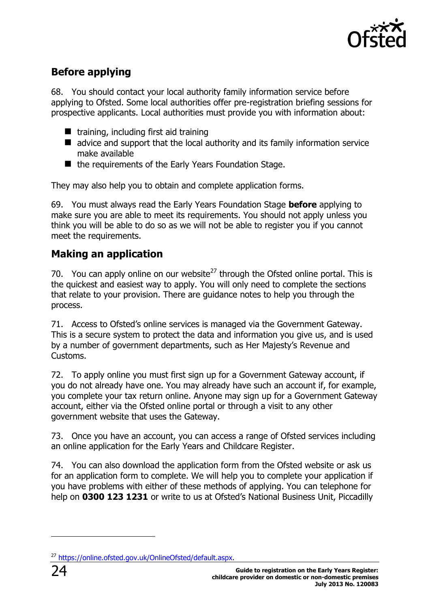

# **Before applying**

68. You should contact your local authority family information service before applying to Ofsted. Some local authorities offer pre-registration briefing sessions for prospective applicants. Local authorities must provide you with information about:

- $\blacksquare$  training, including first aid training
- advice and support that the local authority and its family information service make available
- $\blacksquare$  the requirements of the Early Years Foundation Stage.

They may also help you to obtain and complete application forms.

69. You must always read the Early Years Foundation Stage **before** applying to make sure you are able to meet its requirements. You should not apply unless you think you will be able to do so as we will not be able to register you if you cannot meet the requirements.

### **Making an application**

70. You can apply online on our website<sup>27</sup> through the Ofsted online portal. This is the quickest and easiest way to apply. You will only need to complete the sections that relate to your provision. There are guidance notes to help you through the process.

71. Access to Ofsted's online services is managed via the Government Gateway. This is a secure system to protect the data and information you give us, and is used by a number of government departments, such as Her Majesty's Revenue and Customs.

72. To apply online you must first sign up for a Government Gateway account, if you do not already have one. You may already have such an account if, for example, you complete your tax return online. Anyone may sign up for a Government Gateway account, either via the Ofsted online portal or through a visit to any other government website that uses the Gateway.

73. Once you have an account, you can access a range of Ofsted services including an online application for the Early Years and Childcare Register.

74. You can also download the application form from the Ofsted website or ask us for an application form to complete. We will help you to complete your application if you have problems with either of these methods of applying. You can telephone for help on **0300 123 1231** or write to us at Ofsted's National Business Unit, Piccadilly

<sup>27</sup> [https://online.ofsted.gov.uk/OnlineOfsted/default.aspx.](https://online.ofsted.gov.uk/OnlineOfsted/default.aspx)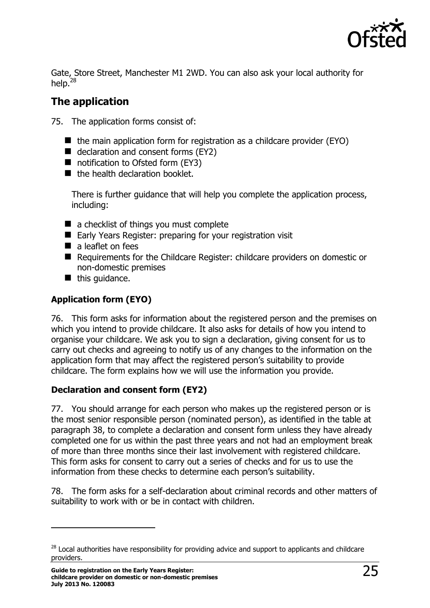

Gate, Store Street, Manchester M1 2WD. You can also ask your local authority for help. $^{28}$ 

### **The application**

75. The application forms consist of:

- $\blacksquare$  the main application form for registration as a childcare provider (EYO)
- $\blacksquare$  declaration and consent forms (EY2)
- notification to Ofsted form (EY3)
- the health declaration booklet.

There is further guidance that will help you complete the application process, including:

- a checklist of things you must complete
- Early Years Register: preparing for your registration visit
- $\blacksquare$  a leaflet on fees
- Requirements for the Childcare Register: childcare providers on domestic or non-domestic premises
- $\blacksquare$  this quidance.

### **Application form (EYO)**

76. This form asks for information about the registered person and the premises on which you intend to provide childcare. It also asks for details of how you intend to organise your childcare. We ask you to sign a declaration, giving consent for us to carry out checks and agreeing to notify us of any changes to the information on the application form that may affect the registered person's suitability to provide childcare. The form explains how we will use the information you provide.

### **Declaration and consent form (EY2)**

77. You should arrange for each person who makes up the registered person or is the most senior responsible person (nominated person), as identified in the table at paragraph 38, to complete a declaration and consent form unless they have already completed one for us within the past three years and not had an employment break of more than three months since their last involvement with registered childcare. This form asks for consent to carry out a series of checks and for us to use the information from these checks to determine each person's suitability.

78. The form asks for a self-declaration about criminal records and other matters of suitability to work with or be in contact with children.

 $28$  Local authorities have responsibility for providing advice and support to applicants and childcare providers.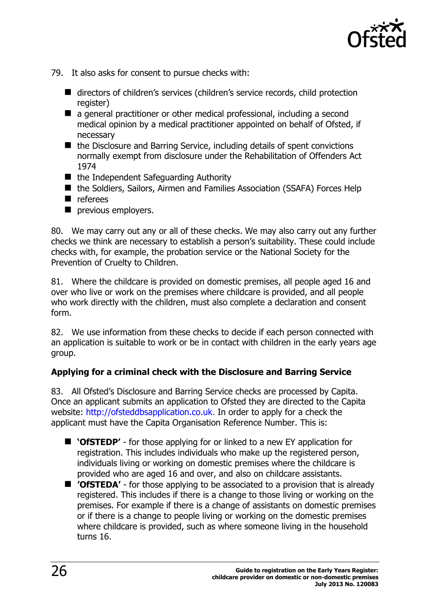

- 79. It also asks for consent to pursue checks with:
	- directors of children's services (children's service records, child protection register)
	- a general practitioner or other medical professional, including a second medical opinion by a medical practitioner appointed on behalf of Ofsted, if necessary
	- the Disclosure and Barring Service, including details of spent convictions normally exempt from disclosure under the Rehabilitation of Offenders Act 1974
	- the Independent Safeguarding Authority
	- the Soldiers, Sailors, Airmen and Families Association (SSAFA) Forces Help
	- **n** referees
	- **P** previous employers.

80. We may carry out any or all of these checks. We may also carry out any further checks we think are necessary to establish a person's suitability. These could include checks with, for example, the probation service or the National Society for the Prevention of Cruelty to Children.

81. Where the childcare is provided on domestic premises, all people aged 16 and over who live or work on the premises where childcare is provided, and all people who work directly with the children, must also complete a declaration and consent form.

82. We use information from these checks to decide if each person connected with an application is suitable to work or be in contact with children in the early years age group.

#### **Applying for a criminal check with the Disclosure and Barring Service**

83. All Ofsted's Disclosure and Barring Service checks are processed by Capita. Once an applicant submits an application to Ofsted they are directed to the Capita website: [http://ofsteddbsapplication.co.uk.](http://ofsteddbsapplication.co.uk/) In order to apply for a check the applicant must have the Capita Organisation Reference Number. This is:

- **'OfSTEDP'** for those applying for or linked to a new EY application for registration. This includes individuals who make up the registered person, individuals living or working on domestic premises where the childcare is provided who are aged 16 and over, and also on childcare assistants.
- **'OfSTEDA'** for those applying to be associated to a provision that is already registered. This includes if there is a change to those living or working on the premises. For example if there is a change of assistants on domestic premises or if there is a change to people living or working on the domestic premises where childcare is provided, such as where someone living in the household turns 16.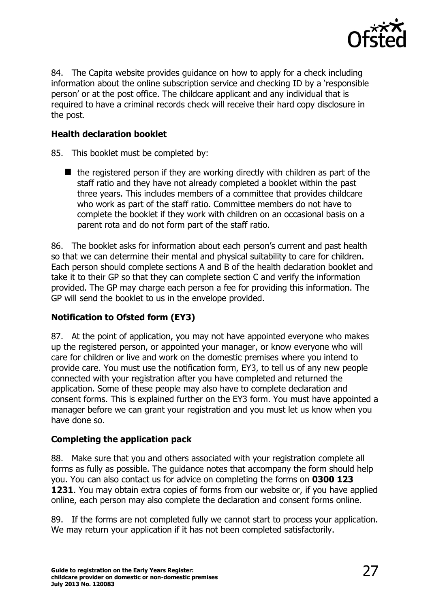

84. The Capita website provides guidance on how to apply for a check including information about the online subscription service and checking ID by a 'responsible person' or at the post office. The childcare applicant and any individual that is required to have a criminal records check will receive their hard copy disclosure in the post.

#### **Health declaration booklet**

- 85. This booklet must be completed by:
	- $\blacksquare$  the registered person if they are working directly with children as part of the staff ratio and they have not already completed a booklet within the past three years. This includes members of a committee that provides childcare who work as part of the staff ratio. Committee members do not have to complete the booklet if they work with children on an occasional basis on a parent rota and do not form part of the staff ratio.

86. The booklet asks for information about each person's current and past health so that we can determine their mental and physical suitability to care for children. Each person should complete sections A and B of the health declaration booklet and take it to their GP so that they can complete section C and verify the information provided. The GP may charge each person a fee for providing this information. The GP will send the booklet to us in the envelope provided.

#### **Notification to Ofsted form (EY3)**

87. At the point of application, you may not have appointed everyone who makes up the registered person, or appointed your manager, or know everyone who will care for children or live and work on the domestic premises where you intend to provide care. You must use the notification form, EY3, to tell us of any new people connected with your registration after you have completed and returned the application. Some of these people may also have to complete declaration and consent forms. This is explained further on the EY3 form. You must have appointed a manager before we can grant your registration and you must let us know when you have done so.

#### **Completing the application pack**

88. Make sure that you and others associated with your registration complete all forms as fully as possible. The guidance notes that accompany the form should help you. You can also contact us for advice on completing the forms on **0300 123 1231**. You may obtain extra copies of forms from our website or, if you have applied online, each person may also complete the declaration and consent forms online.

89. If the forms are not completed fully we cannot start to process your application. We may return your application if it has not been completed satisfactorily.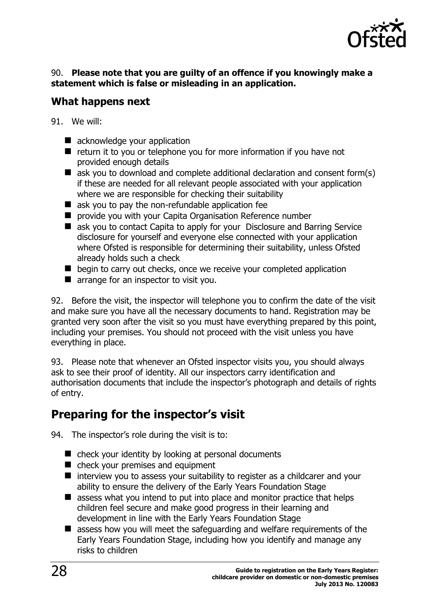

#### 90. **Please note that you are guilty of an offence if you knowingly make a statement which is false or misleading in an application.**

### **What happens next**

- 91. We will:
	- acknowledge your application
	- $\blacksquare$  return it to you or telephone you for more information if you have not provided enough details
	- $\blacksquare$  ask you to download and complete additional declaration and consent form(s) if these are needed for all relevant people associated with your application where we are responsible for checking their suitability
	- **E** ask you to pay the non-refundable application fee
	- **P** provide you with your Capita Organisation Reference number
	- ask you to contact Capita to apply for your Disclosure and Barring Service disclosure for yourself and everyone else connected with your application where Ofsted is responsible for determining their suitability, unless Ofsted already holds such a check
	- $\blacksquare$  begin to carry out checks, once we receive your completed application
	- **T** arrange for an inspector to visit you.

92. Before the visit, the inspector will telephone you to confirm the date of the visit and make sure you have all the necessary documents to hand. Registration may be granted very soon after the visit so you must have everything prepared by this point, including your premises. You should not proceed with the visit unless you have everything in place.

93. Please note that whenever an Ofsted inspector visits you, you should always ask to see their proof of identity. All our inspectors carry identification and authorisation documents that include the inspector's photograph and details of rights of entry.

# <span id="page-27-0"></span>**Preparing for the inspector's visit**

94. The inspector's role during the visit is to:

- $\blacksquare$  check your identity by looking at personal documents
- check your premises and equipment
- $\blacksquare$  interview you to assess your suitability to register as a childcarer and your ability to ensure the delivery of the Early Years Foundation Stage
- $\blacksquare$  assess what you intend to put into place and monitor practice that helps children feel secure and make good progress in their learning and development in line with the Early Years Foundation Stage
- **E** assess how you will meet the safeguarding and welfare requirements of the Early Years Foundation Stage, including how you identify and manage any risks to children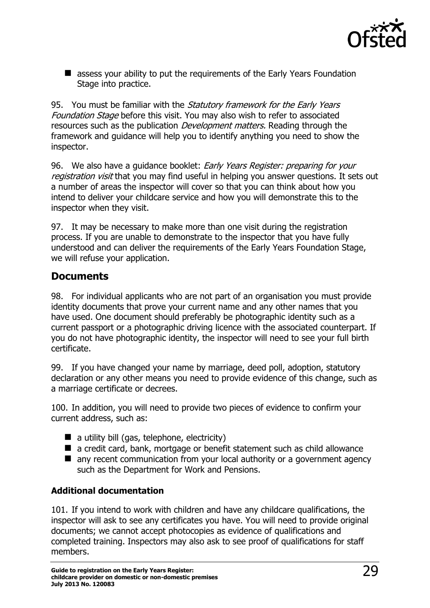

■ assess your ability to put the requirements of the Early Years Foundation Stage into practice.

95. You must be familiar with the *Statutory framework for the Early Years* Foundation Stage before this visit. You may also wish to refer to associated resources such as the publication *Development matters*. Reading through the framework and guidance will help you to identify anything you need to show the inspector.

96. We also have a quidance booklet: Early Years Register: preparing for your registration visit that you may find useful in helping you answer questions. It sets out a number of areas the inspector will cover so that you can think about how you intend to deliver your childcare service and how you will demonstrate this to the inspector when they visit.

97. It may be necessary to make more than one visit during the registration process. If you are unable to demonstrate to the inspector that you have fully understood and can deliver the requirements of the Early Years Foundation Stage, we will refuse your application.

### **Documents**

98. For individual applicants who are not part of an organisation you must provide identity documents that prove your current name and any other names that you have used. One document should preferably be photographic identity such as a current passport or a photographic driving licence with the associated counterpart. If you do not have photographic identity, the inspector will need to see your full birth certificate.

99. If you have changed your name by marriage, deed poll, adoption, statutory declaration or any other means you need to provide evidence of this change, such as a marriage certificate or decrees.

100. In addition, you will need to provide two pieces of evidence to confirm your current address, such as:

- $\blacksquare$  a utility bill (gas, telephone, electricity)
- a credit card, bank, mortgage or benefit statement such as child allowance
- any recent communication from your local authority or a government agency such as the Department for Work and Pensions.

#### **Additional documentation**

101. If you intend to work with children and have any childcare qualifications, the inspector will ask to see any certificates you have. You will need to provide original documents; we cannot accept photocopies as evidence of qualifications and completed training. Inspectors may also ask to see proof of qualifications for staff members.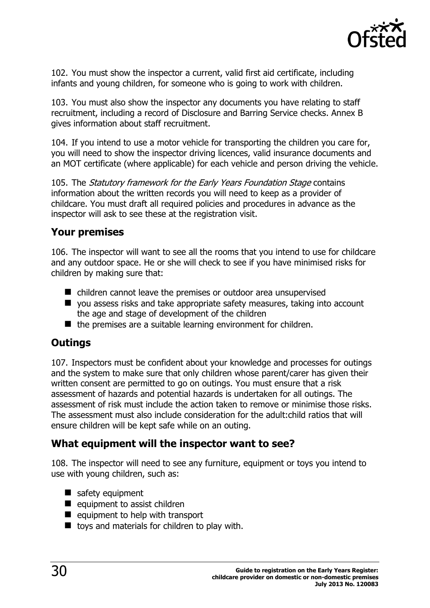

102. You must show the inspector a current, valid first aid certificate, including infants and young children, for someone who is going to work with children.

103. You must also show the inspector any documents you have relating to staff recruitment, including a record of Disclosure and Barring Service checks. Annex B gives information about staff recruitment.

104. If you intend to use a motor vehicle for transporting the children you care for, you will need to show the inspector driving licences, valid insurance documents and an MOT certificate (where applicable) for each vehicle and person driving the vehicle.

105. The Statutory framework for the Early Years Foundation Stage contains information about the written records you will need to keep as a provider of childcare. You must draft all required policies and procedures in advance as the inspector will ask to see these at the registration visit.

#### **Your premises**

106. The inspector will want to see all the rooms that you intend to use for childcare and any outdoor space. He or she will check to see if you have minimised risks for children by making sure that:

- children cannot leave the premises or outdoor area unsupervised
- you assess risks and take appropriate safety measures, taking into account the age and stage of development of the children
- $\blacksquare$  the premises are a suitable learning environment for children.

### **Outings**

107. Inspectors must be confident about your knowledge and processes for outings and the system to make sure that only children whose parent/carer has given their written consent are permitted to go on outings. You must ensure that a risk assessment of hazards and potential hazards is undertaken for all outings. The assessment of risk must include the action taken to remove or minimise those risks. The assessment must also include consideration for the adult:child ratios that will ensure children will be kept safe while on an outing.

### **What equipment will the inspector want to see?**

108. The inspector will need to see any furniture, equipment or toys you intend to use with young children, such as:

- safety equipment
- $\blacksquare$  equipment to assist children
- $\blacksquare$  equipment to help with transport
- $\blacksquare$  toys and materials for children to play with.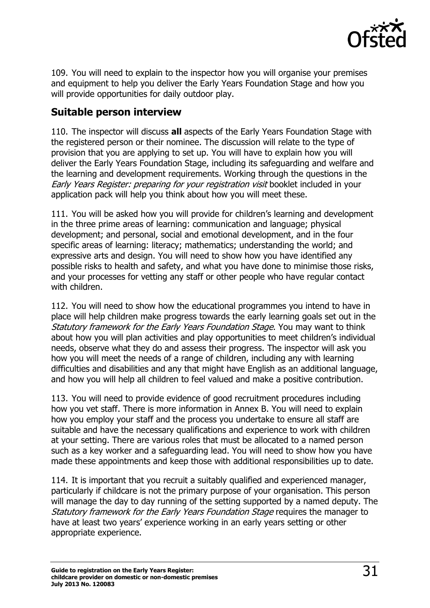

109. You will need to explain to the inspector how you will organise your premises and equipment to help you deliver the Early Years Foundation Stage and how you will provide opportunities for daily outdoor play.

### **Suitable person interview**

110. The inspector will discuss **all** aspects of the Early Years Foundation Stage with the registered person or their nominee. The discussion will relate to the type of provision that you are applying to set up. You will have to explain how you will deliver the Early Years Foundation Stage, including its safeguarding and welfare and the learning and development requirements. Working through the questions in the Early Years Register: preparing for your registration visit booklet included in your application pack will help you think about how you will meet these.

111. You will be asked how you will provide for children's learning and development in the three prime areas of learning: communication and language; physical development; and personal, social and emotional development, and in the four specific areas of learning: literacy; mathematics; understanding the world; and expressive arts and design. You will need to show how you have identified any possible risks to health and safety, and what you have done to minimise those risks, and your processes for vetting any staff or other people who have regular contact with children.

112. You will need to show how the educational programmes you intend to have in place will help children make progress towards the early learning goals set out in the Statutory framework for the Early Years Foundation Stage. You may want to think about how you will plan activities and play opportunities to meet children's individual needs, observe what they do and assess their progress. The inspector will ask you how you will meet the needs of a range of children, including any with learning difficulties and disabilities and any that might have English as an additional language, and how you will help all children to feel valued and make a positive contribution.

113. You will need to provide evidence of good recruitment procedures including how you vet staff. There is more information in Annex B. You will need to explain how you employ your staff and the process you undertake to ensure all staff are suitable and have the necessary qualifications and experience to work with children at your setting. There are various roles that must be allocated to a named person such as a key worker and a safeguarding lead. You will need to show how you have made these appointments and keep those with additional responsibilities up to date.

114. It is important that you recruit a suitably qualified and experienced manager, particularly if childcare is not the primary purpose of your organisation. This person will manage the day to day running of the setting supported by a named deputy. The Statutory framework for the Early Years Foundation Stage requires the manager to have at least two years' experience working in an early years setting or other appropriate experience.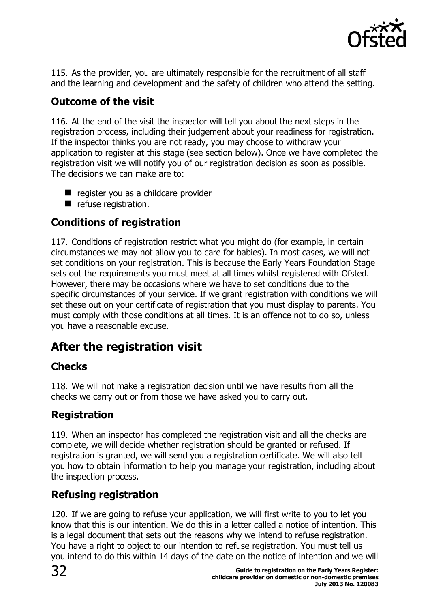

115. As the provider, you are ultimately responsible for the recruitment of all staff and the learning and development and the safety of children who attend the setting.

### **Outcome of the visit**

116. At the end of the visit the inspector will tell you about the next steps in the registration process, including their judgement about your readiness for registration. If the inspector thinks you are not ready, you may choose to withdraw your application to register at this stage (see section below). Once we have completed the registration visit we will notify you of our registration decision as soon as possible. The decisions we can make are to:

- register you as a childcare provider
- refuse registration.

### **Conditions of registration**

117. Conditions of registration restrict what you might do (for example, in certain circumstances we may not allow you to care for babies). In most cases, we will not set conditions on your registration. This is because the Early Years Foundation Stage sets out the requirements you must meet at all times whilst registered with Ofsted. However, there may be occasions where we have to set conditions due to the specific circumstances of your service. If we grant registration with conditions we will set these out on your certificate of registration that you must display to parents. You must comply with those conditions at all times. It is an offence not to do so, unless you have a reasonable excuse.

# <span id="page-31-0"></span>**After the registration visit**

### **Checks**

118. We will not make a registration decision until we have results from all the checks we carry out or from those we have asked you to carry out.

### **Registration**

119. When an inspector has completed the registration visit and all the checks are complete, we will decide whether registration should be granted or refused. If registration is granted, we will send you a registration certificate. We will also tell you how to obtain information to help you manage your registration, including about the inspection process.

### **Refusing registration**

120. If we are going to refuse your application, we will first write to you to let you know that this is our intention. We do this in a letter called a notice of intention. This is a legal document that sets out the reasons why we intend to refuse registration. You have a right to object to our intention to refuse registration. You must tell us you intend to do this within 14 days of the date on the notice of intention and we will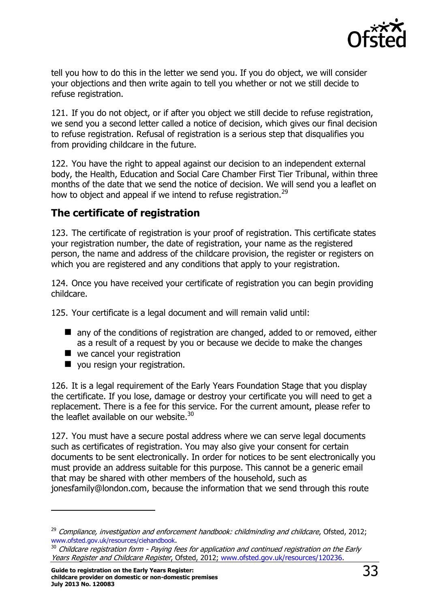

tell you how to do this in the letter we send you. If you do object, we will consider your objections and then write again to tell you whether or not we still decide to refuse registration.

121. If you do not object, or if after you object we still decide to refuse registration, we send you a second letter called a notice of decision, which gives our final decision to refuse registration. Refusal of registration is a serious step that disqualifies you from providing childcare in the future.

122. You have the right to appeal against our decision to an independent external body, the Health, Education and Social Care Chamber First Tier Tribunal, within three months of the date that we send the notice of decision. We will send you a leaflet on how to object and appeal if we intend to refuse registration.<sup>29</sup>

### **The certificate of registration**

123. The certificate of registration is your proof of registration. This certificate states your registration number, the date of registration, your name as the registered person, the name and address of the childcare provision, the register or registers on which you are registered and any conditions that apply to your registration.

124. Once you have received your certificate of registration you can begin providing childcare.

125. Your certificate is a legal document and will remain valid until:

- any of the conditions of registration are changed, added to or removed, either as a result of a request by you or because we decide to make the changes
- we cancel your registration
- **v** you resign your registration.

126. It is a legal requirement of the Early Years Foundation Stage that you display the certificate. If you lose, damage or destroy your certificate you will need to get a replacement. There is a fee for this service. For the current amount, please refer to the leaflet available on our website.<sup>30</sup>

127. You must have a secure postal address where we can serve legal documents such as certificates of registration. You may also give your consent for certain documents to be sent electronically. In order for notices to be sent electronically you must provide an address suitable for this purpose. This cannot be a generic email that may be shared with other members of the household, such as jonesfamily@london.com, because the information that we send through this route

 $\overline{a}$ 

 $29$  Compliance, investigation and enforcement handbook: childminding and childcare, Ofsted, 2012; [www.ofsted.gov.uk/resources/ciehandbook](http://www.ofsted.gov.uk/resources/compliance-investigation-and-enforcement-handbook-childminding-and-childcare).

<sup>&</sup>lt;sup>30</sup> Childcare registration form - Paying fees for application and continued registration on the Early Years Register and Childcare Register, Ofsted, 2012; [www.ofsted.gov.uk/resources/120236.](http://www.ofsted.gov.uk/resources/childcare-registration-form-paying-fees-for-application-and-continued-registration-early-years-regis)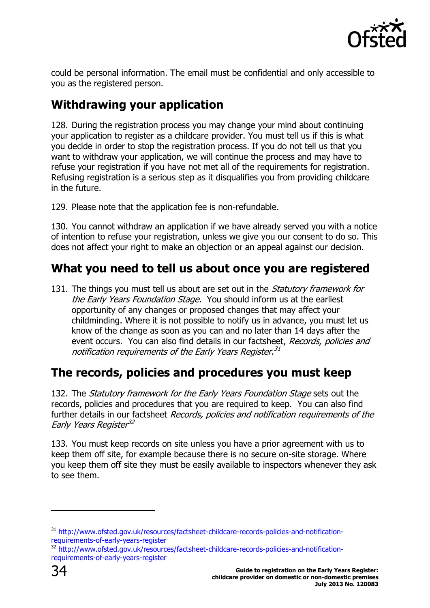

could be personal information. The email must be confidential and only accessible to you as the registered person.

# <span id="page-33-0"></span>**Withdrawing your application**

128. During the registration process you may change your mind about continuing your application to register as a childcare provider. You must tell us if this is what you decide in order to stop the registration process. If you do not tell us that you want to withdraw your application, we will continue the process and may have to refuse your registration if you have not met all of the requirements for registration. Refusing registration is a serious step as it disqualifies you from providing childcare in the future.

129. Please note that the application fee is non-refundable.

130. You cannot withdraw an application if we have already served you with a notice of intention to refuse your registration, unless we give you our consent to do so. This does not affect your right to make an objection or an appeal against our decision.

# <span id="page-33-1"></span>**What you need to tell us about once you are registered**

131. The things you must tell us about are set out in the *Statutory framework for* the Early Years Foundation Stage. You should inform us at the earliest opportunity of any changes or proposed changes that may affect your childminding. Where it is not possible to notify us in advance, you must let us know of the change as soon as you can and no later than 14 days after the event occurs. You can also find details in our factsheet, Records, policies and notification requirements of the Early Years Register.<sup>31</sup>

# <span id="page-33-2"></span>**The records, policies and procedures you must keep**

132. The Statutory framework for the Early Years Foundation Stage sets out the records, policies and procedures that you are required to keep. You can also find further details in our factsheet Records, policies and notification requirements of the Early Years Register 32

133. You must keep records on site unless you have a prior agreement with us to keep them off site, for example because there is no secure on-site storage. Where you keep them off site they must be easily available to inspectors whenever they ask to see them.

 $\overline{a}$ 

<sup>&</sup>lt;sup>31</sup> [http://www.ofsted.gov.uk/resources/factsheet-childcare-records-policies-and-notification](http://www.ofsted.gov.uk/resources/factsheet-childcare-records-policies-and-notification-requirements-of-early-years-register)[requirements-of-early-years-register](http://www.ofsted.gov.uk/resources/factsheet-childcare-records-policies-and-notification-requirements-of-early-years-register)

<sup>32</sup> [http://www.ofsted.gov.uk/resources/factsheet-childcare-records-policies-and-notification](http://www.ofsted.gov.uk/resources/factsheet-childcare-records-policies-and-notification-requirements-of-early-years-register)[requirements-of-early-years-register](http://www.ofsted.gov.uk/resources/factsheet-childcare-records-policies-and-notification-requirements-of-early-years-register)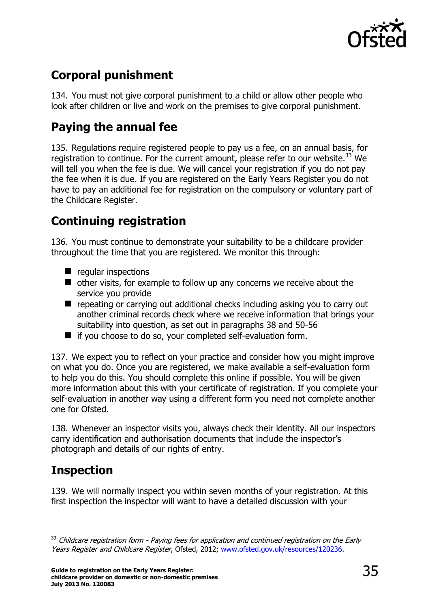

# <span id="page-34-0"></span>**Corporal punishment**

134. You must not give corporal punishment to a child or allow other people who look after children or live and work on the premises to give corporal punishment.

# <span id="page-34-1"></span>**Paying the annual fee**

135. Regulations require registered people to pay us a fee, on an annual basis, for registration to continue. For the current amount, please refer to our website.<sup>33</sup> We will tell you when the fee is due. We will cancel your registration if you do not pay the fee when it is due. If you are registered on the Early Years Register you do not have to pay an additional fee for registration on the compulsory or voluntary part of the Childcare Register.

# <span id="page-34-2"></span>**Continuing registration**

136. You must continue to demonstrate your suitability to be a childcare provider throughout the time that you are registered. We monitor this through:

- $\blacksquare$  regular inspections
- other visits, for example to follow up any concerns we receive about the service you provide
- **E** repeating or carrying out additional checks including asking you to carry out another criminal records check where we receive information that brings your suitability into question, as set out in paragraphs 38 and 50-56
- $\blacksquare$  if you choose to do so, your completed self-evaluation form.

137. We expect you to reflect on your practice and consider how you might improve on what you do. Once you are registered, we make available a self-evaluation form to help you do this. You should complete this online if possible. You will be given more information about this with your certificate of registration. If you complete your self-evaluation in another way using a different form you need not complete another one for Ofsted.

138. Whenever an inspector visits you, always check their identity. All our inspectors carry identification and authorisation documents that include the inspector's photograph and details of our rights of entry.

# <span id="page-34-3"></span>**Inspection**

j

139. We will normally inspect you within seven months of your registration. At this first inspection the inspector will want to have a detailed discussion with your

 $33$  Childcare registration form - Paying fees for application and continued registration on the Early Years Register and Childcare Register, Ofsted, 2012; [www.ofsted.gov.uk/resources/120236.](http://www.ofsted.gov.uk/resources/childcare-registration-form-paying-fees-for-application-and-continued-registration-early-years-regis)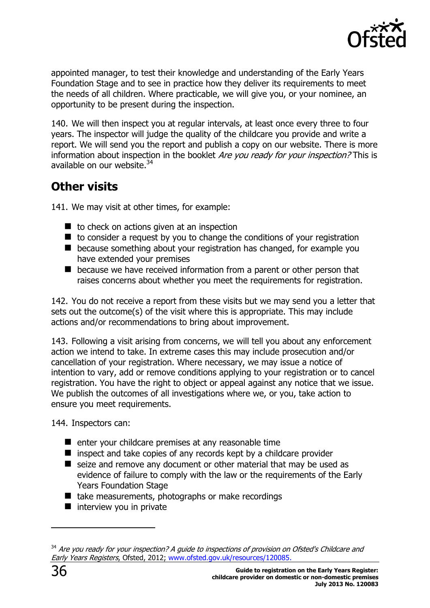

appointed manager, to test their knowledge and understanding of the Early Years Foundation Stage and to see in practice how they deliver its requirements to meet the needs of all children. Where practicable, we will give you, or your nominee, an opportunity to be present during the inspection.

140. We will then inspect you at regular intervals, at least once every three to four years. The inspector will judge the quality of the childcare you provide and write a report. We will send you the report and publish a copy on our website. There is more information about inspection in the booklet *Are you ready for your inspection?* This is available on our website.<sup>34</sup>

# <span id="page-35-0"></span>**Other visits**

141. We may visit at other times, for example:

- $\blacksquare$  to check on actions given at an inspection
- $\blacksquare$  to consider a request by you to change the conditions of your registration
- **E** because something about your registration has changed, for example you have extended your premises
- **E** because we have received information from a parent or other person that raises concerns about whether you meet the requirements for registration.

142. You do not receive a report from these visits but we may send you a letter that sets out the outcome(s) of the visit where this is appropriate. This may include actions and/or recommendations to bring about improvement.

143. Following a visit arising from concerns, we will tell you about any enforcement action we intend to take. In extreme cases this may include prosecution and/or cancellation of your registration. Where necessary, we may issue a notice of intention to vary, add or remove conditions applying to your registration or to cancel registration. You have the right to object or appeal against any notice that we issue. We publish the outcomes of all investigations where we, or you, take action to ensure you meet requirements.

144. Inspectors can:

- $\blacksquare$  enter your childcare premises at any reasonable time
- $\blacksquare$  inspect and take copies of any records kept by a childcare provider
- seize and remove any document or other material that may be used as evidence of failure to comply with the law or the requirements of the Early Years Foundation Stage
- $\blacksquare$  take measurements, photographs or make recordings
- $\blacksquare$  interview you in private

<sup>&</sup>lt;sup>34</sup> Are you ready for your inspection? A guide to inspections of provision on Ofsted's Childcare and Early Years Registers, Ofsted, 2012; [www.ofsted.gov.uk/resources/120085.](http://www.ofsted.gov.uk/resources/are-you-ready-for-your-inspection-guide-inspections-of-provision-ofsteds-childcare-and-early-years-r)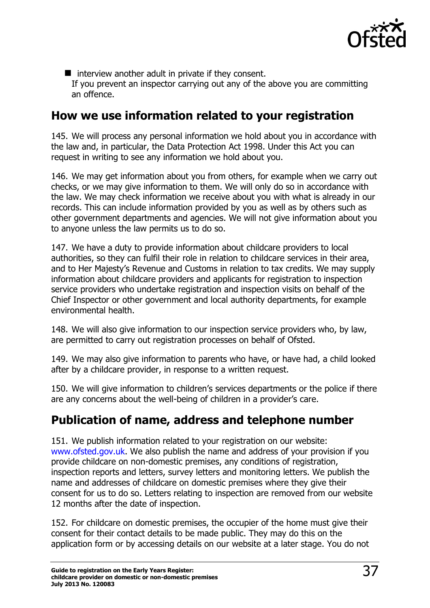

 $\blacksquare$  interview another adult in private if they consent. If you prevent an inspector carrying out any of the above you are committing an offence.

### <span id="page-36-0"></span>**How we use information related to your registration**

145. We will process any personal information we hold about you in accordance with the law and, in particular, the Data Protection Act 1998. Under this Act you can request in writing to see any information we hold about you.

146. We may get information about you from others, for example when we carry out checks, or we may give information to them. We will only do so in accordance with the law. We may check information we receive about you with what is already in our records. This can include information provided by you as well as by others such as other government departments and agencies. We will not give information about you to anyone unless the law permits us to do so.

147. We have a duty to provide information about childcare providers to local authorities, so they can fulfil their role in relation to childcare services in their area, and to Her Majesty's Revenue and Customs in relation to tax credits. We may supply information about childcare providers and applicants for registration to inspection service providers who undertake registration and inspection visits on behalf of the Chief Inspector or other government and local authority departments, for example environmental health.

148. We will also give information to our inspection service providers who, by law, are permitted to carry out registration processes on behalf of Ofsted.

149. We may also give information to parents who have, or have had, a child looked after by a childcare provider, in response to a written request.

150. We will give information to children's services departments or the police if there are any concerns about the well-being of children in a provider's care.

# <span id="page-36-1"></span>**Publication of name, address and telephone number**

151. We publish information related to your registration on our website: [www.ofsted.gov.uk.](http://www.ofsted.gov.uk/) We also publish the name and address of your provision if you provide childcare on non-domestic premises, any conditions of registration, inspection reports and letters, survey letters and monitoring letters. We publish the name and addresses of childcare on domestic premises where they give their consent for us to do so. Letters relating to inspection are removed from our website 12 months after the date of inspection.

152. For childcare on domestic premises, the occupier of the home must give their consent for their contact details to be made public. They may do this on the application form or by accessing details on our website at a later stage. You do not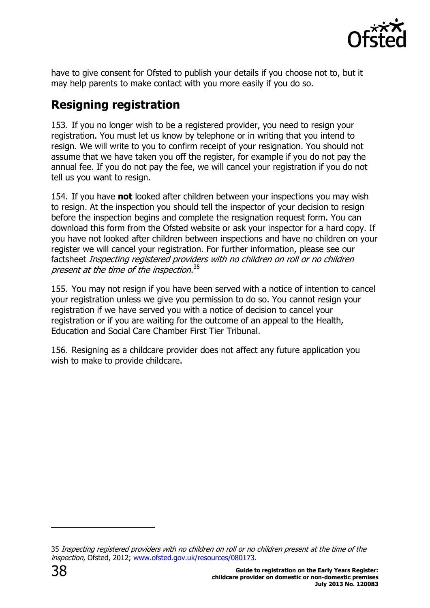

have to give consent for Ofsted to publish your details if you choose not to, but it may help parents to make contact with you more easily if you do so.

# <span id="page-37-0"></span>**Resigning registration**

153. If you no longer wish to be a registered provider, you need to resign your registration. You must let us know by telephone or in writing that you intend to resign. We will write to you to confirm receipt of your resignation. You should not assume that we have taken you off the register, for example if you do not pay the annual fee. If you do not pay the fee, we will cancel your registration if you do not tell us you want to resign.

154. If you have **not** looked after children between your inspections you may wish to resign. At the inspection you should tell the inspector of your decision to resign before the inspection begins and complete the resignation request form. You can download this form from the Ofsted website or ask your inspector for a hard copy. If you have not looked after children between inspections and have no children on your register we will cancel your registration. For further information, please see our factsheet Inspecting registered providers with no children on roll or no children present at the time of the inspection.<sup>35</sup>

155. You may not resign if you have been served with a notice of intention to cancel your registration unless we give you permission to do so. You cannot resign your registration if we have served you with a notice of decision to cancel your registration or if you are waiting for the outcome of an appeal to the Health, Education and Social Care Chamber First Tier Tribunal.

156. Resigning as a childcare provider does not affect any future application you wish to make to provide childcare.

<sup>35</sup> Inspecting registered providers with no children on roll or no children present at the time of the inspection, Ofsted, 2012; [www.ofsted.gov.uk/resources/080173.](http://www.ofsted.gov.uk/resources/process-and-guidance-for-inspecting-childminders-and-childcare-settings-no-children-roll-or-no-child)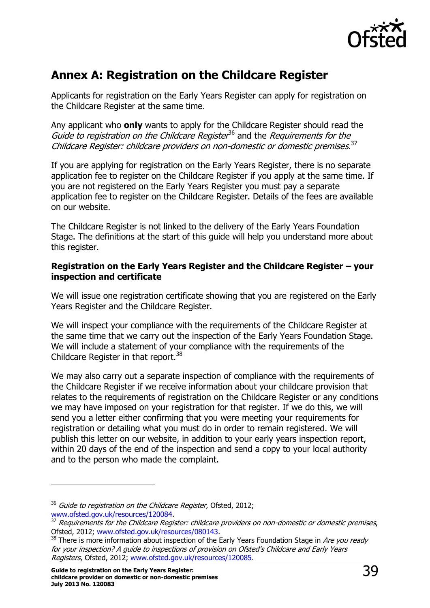

# <span id="page-38-0"></span>**Annex A: Registration on the Childcare Register**

Applicants for registration on the Early Years Register can apply for registration on the Childcare Register at the same time.

Any applicant who **only** wants to apply for the Childcare Register should read the Guide to registration on the Childcare Register<sup>36</sup> and the Requirements for the Childcare Register: childcare providers on non-domestic or domestic premises.<sup>37</sup>

If you are applying for registration on the Early Years Register, there is no separate application fee to register on the Childcare Register if you apply at the same time. If you are not registered on the Early Years Register you must pay a separate application fee to register on the Childcare Register. Details of the fees are available on our website.

The Childcare Register is not linked to the delivery of the Early Years Foundation Stage. The definitions at the start of this guide will help you understand more about this register.

#### **Registration on the Early Years Register and the Childcare Register – your inspection and certificate**

We will issue one registration certificate showing that you are registered on the Early Years Register and the Childcare Register.

We will inspect your compliance with the requirements of the Childcare Register at the same time that we carry out the inspection of the Early Years Foundation Stage. We will include a statement of your compliance with the requirements of the Childcare Register in that report.<sup>38</sup>

We may also carry out a separate inspection of compliance with the requirements of the Childcare Register if we receive information about your childcare provision that relates to the requirements of registration on the Childcare Register or any conditions we may have imposed on your registration for that register. If we do this, we will send you a letter either confirming that you were meeting your requirements for registration or detailing what you must do in order to remain registered. We will publish this letter on our website, in addition to your early years inspection report, within 20 days of the end of the inspection and send a copy to your local authority and to the person who made the complaint.

<span id="page-38-1"></span> $36$  Guide to registration on the Childcare Register, Ofsted, 2012; [www.ofsted.gov.uk/resources/120084.](http://www.ofsted.gov.uk/resources/guide-registration-childcare-register)

<sup>&</sup>lt;sup>37</sup> Requirements for the Childcare Register: childcare providers on non-domestic or domestic premises, Ofsted, 2012; [www.ofsted.gov.uk/resources/080143.](http://www.ofsted.gov.uk/resources/factsheet-childcare-requirements-for-childcare-register-childcare-providers-non-domestic-or-domestic)

<sup>&</sup>lt;sup>38</sup> There is more information about inspection of the Early Years Foundation Stage in Are you ready for your inspection? A guide to inspections of provision on Ofsted's Childcare and Early Years Registers, Ofsted, 2012; [www.ofsted.gov.uk/resources/120085.](http://www.ofsted.gov.uk/resources/are-you-ready-for-your-inspection-guide-inspections-of-provision-ofsteds-childcare-and-early-years-r)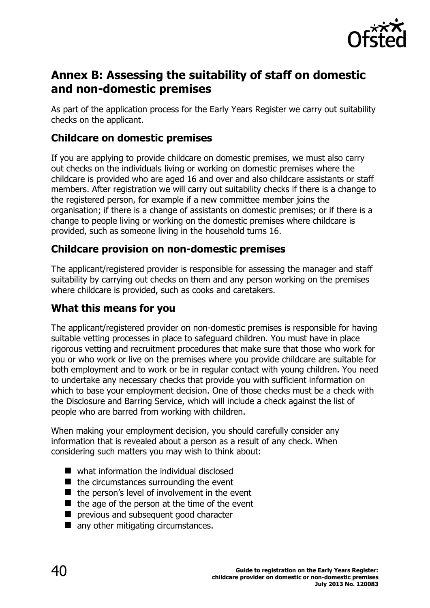

# **Annex B: Assessing the suitability of staff on domestic and non-domestic premises**

As part of the application process for the Early Years Register we carry out suitability checks on the applicant.

### **Childcare on domestic premises**

If you are applying to provide childcare on domestic premises, we must also carry out checks on the individuals living or working on domestic premises where the childcare is provided who are aged 16 and over and also childcare assistants or staff members. After registration we will carry out suitability checks if there is a change to the registered person, for example if a new committee member joins the organisation; if there is a change of assistants on domestic premises; or if there is a change to people living or working on the domestic premises where childcare is provided, such as someone living in the household turns 16.

### **Childcare provision on non-domestic premises**

The applicant/registered provider is responsible for assessing the manager and staff suitability by carrying out checks on them and any person working on the premises where childcare is provided, such as cooks and caretakers.

### **What this means for you**

The applicant/registered provider on non-domestic premises is responsible for having suitable vetting processes in place to safeguard children. You must have in place rigorous vetting and recruitment procedures that make sure that those who work for you or who work or live on the premises where you provide childcare are suitable for both employment and to work or be in regular contact with young children. You need to undertake any necessary checks that provide you with sufficient information on which to base your employment decision. One of those checks must be a check with the Disclosure and Barring Service, which will include a check against the list of people who are barred from working with children.

When making your employment decision, you should carefully consider any information that is revealed about a person as a result of any check. When considering such matters you may wish to think about:

- what information the individual disclosed
- $\blacksquare$  the circumstances surrounding the event
- $\blacksquare$  the person's level of involvement in the event
- $\blacksquare$  the age of the person at the time of the event
- **P** previous and subsequent good character
- **n** any other mitigating circumstances.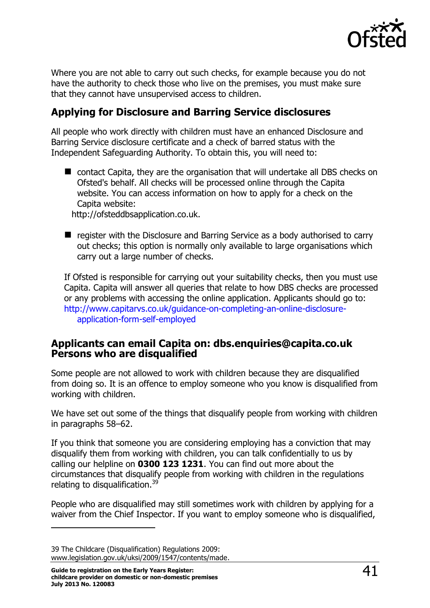

Where you are not able to carry out such checks, for example because you do not have the authority to check those who live on the premises, you must make sure that they cannot have unsupervised access to children.

### **Applying for Disclosure and Barring Service disclosures**

All people who work directly with children must have an enhanced Disclosure and Barring Service disclosure certificate and a check of barred status with the Independent Safeguarding Authority. To obtain this, you will need to:

■ contact Capita, they are the organisation that will undertake all DBS checks on Ofsted's behalf. All checks will be processed online through the Capita website. You can access information on how to apply for a check on the Capita website:

http://ofsteddbsapplication.co.uk.

■ register with the Disclosure and Barring Service as a body authorised to carry out checks; this option is normally only available to large organisations which carry out a large number of checks.

If Ofsted is responsible for carrying out your suitability checks, then you must use Capita. Capita will answer all queries that relate to how DBS checks are processed or any problems with accessing the online application. Applicants should go to: [http://www.capitarvs.co.uk/guidance-on-completing-an-online-disclosure](http://www.capitarvs.co.uk/guidance-on-completing-an-online-disclosure-application-form-self-employed)[application-form-self-employed](http://www.capitarvs.co.uk/guidance-on-completing-an-online-disclosure-application-form-self-employed)

#### **Applicants can email Capita on: dbs.enquiries@capita.co.uk Persons who are disqualified**

Some people are not allowed to work with children because they are disqualified from doing so. It is an offence to employ someone who you know is disqualified from working with children.

We have set out some of the things that disqualify people from working with children in paragraphs 58–62.

If you think that someone you are considering employing has a conviction that may disqualify them from working with children, you can talk confidentially to us by calling our helpline on **0300 123 1231**. You can find out more about the circumstances that disqualify people from working with children in the regulations relating to disqualification.<sup>39</sup>

People who are disqualified may still sometimes work with children by applying for a waiver from the Chief Inspector. If you want to employ someone who is disqualified,

<sup>39</sup> The Childcare (Disqualification) Regulations 2009: [www.legislation.gov.uk/uksi/2009/1547/contents/made.](http://www.legislation.gov.uk/uksi/2009/1547/contents/made)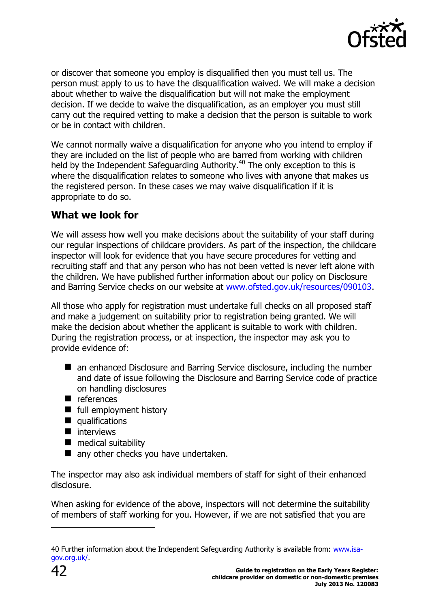

or discover that someone you employ is disqualified then you must tell us. The person must apply to us to have the disqualification waived. We will make a decision about whether to waive the disqualification but will not make the employment decision. If we decide to waive the disqualification, as an employer you must still carry out the required vetting to make a decision that the person is suitable to work or be in contact with children.

We cannot normally waive a disqualification for anyone who you intend to employ if they are included on the list of people who are barred from working with children held by the Independent Safeguarding Authority.<sup>40</sup> The only exception to this is where the disqualification relates to someone who lives with anyone that makes us the registered person. In these cases we may waive disqualification if it is appropriate to do so.

### **What we look for**

We will assess how well you make decisions about the suitability of your staff during our regular inspections of childcare providers. As part of the inspection, the childcare inspector will look for evidence that you have secure procedures for vetting and recruiting staff and that any person who has not been vetted is never left alone with the children. We have published further information about our policy on Disclosure and Barring Service checks on our website at [www.ofsted.gov.uk/resources/090103.](http://www.ofsted.gov.uk/resources/090103)

All those who apply for registration must undertake full checks on all proposed staff and make a judgement on suitability prior to registration being granted. We will make the decision about whether the applicant is suitable to work with children. During the registration process, or at inspection, the inspector may ask you to provide evidence of:

- an enhanced Disclosure and Barring Service disclosure, including the number and date of issue following the Disclosure and Barring Service code of practice on handling disclosures
- references
- **full employment history**
- qualifications
- $\blacksquare$  interviews
- **nedical suitability**
- any other checks you have undertaken.

The inspector may also ask individual members of staff for sight of their enhanced disclosure.

When asking for evidence of the above, inspectors will not determine the suitability of members of staff working for you. However, if we are not satisfied that you are

<sup>40</sup> Further information about the Independent Safeguarding Authority is available from: [www.isa](http://www.isa-gov.org.uk/)[gov.org.uk/.](http://www.isa-gov.org.uk/)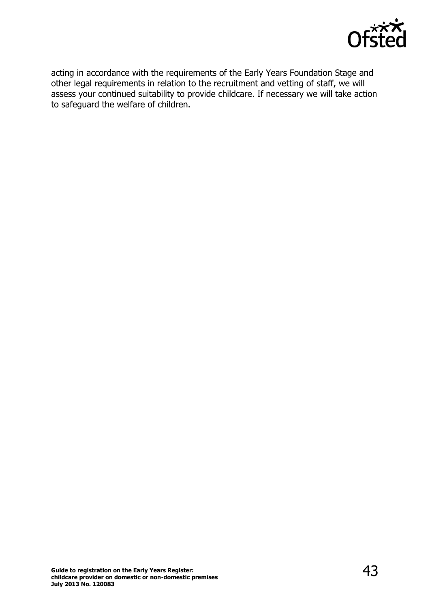

<span id="page-42-0"></span>acting in accordance with the requirements of the Early Years Foundation Stage and other legal requirements in relation to the recruitment and vetting of staff, we will assess your continued suitability to provide childcare. If necessary we will take action to safeguard the welfare of children.